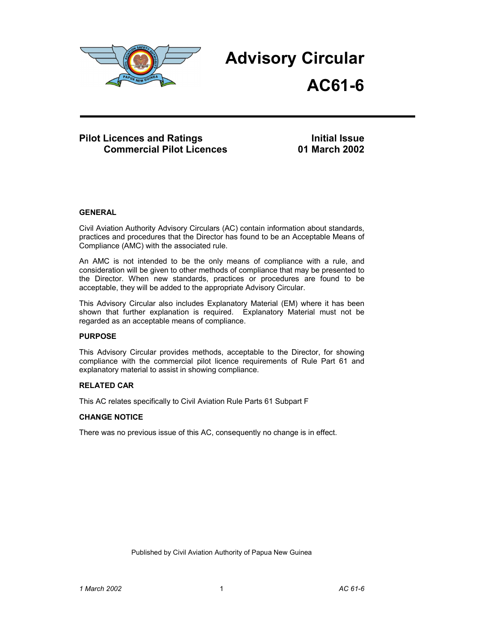

**Advisory Circular** 

**AC61-6**

# **Pilot Licences and Ratings and Ratings** Initial Issue<br>Commercial Pilot Licences 6 01 March 2002 **Commercial Pilot Licences**

# **GENERAL**

Civil Aviation Authority Advisory Circulars (AC) contain information about standards, practices and procedures that the Director has found to be an Acceptable Means of Compliance (AMC) with the associated rule.

An AMC is not intended to be the only means of compliance with a rule, and consideration will be given to other methods of compliance that may be presented to the Director. When new standards, practices or procedures are found to be acceptable, they will be added to the appropriate Advisory Circular.

This Advisory Circular also includes Explanatory Material (EM) where it has been shown that further explanation is required. Explanatory Material must not be regarded as an acceptable means of compliance.

# **PURPOSE**

This Advisory Circular provides methods, acceptable to the Director, for showing compliance with the commercial pilot licence requirements of Rule Part 61 and explanatory material to assist in showing compliance.

# **RELATED CAR**

This AC relates specifically to Civil Aviation Rule Parts 61 Subpart F

# **CHANGE NOTICE**

There was no previous issue of this AC, consequently no change is in effect.

Published by Civil Aviation Authority of Papua New Guinea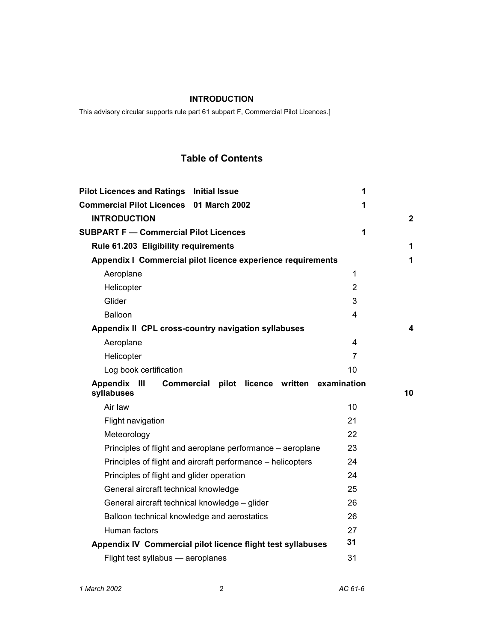# **INTRODUCTION**

This advisory circular supports rule part 61 subpart F, Commercial Pilot Licences.]

# **Table of Contents**

| <b>Pilot Licences and Ratings Initial Issue</b>                                                  | 1              |              |
|--------------------------------------------------------------------------------------------------|----------------|--------------|
| <b>Commercial Pilot Licences 01 March 2002</b>                                                   | 1              |              |
| <b>INTRODUCTION</b>                                                                              |                | $\mathbf{2}$ |
| <b>SUBPART F - Commercial Pilot Licences</b>                                                     | 1              |              |
| Rule 61.203 Eligibility requirements                                                             |                | 1            |
| Appendix I Commercial pilot licence experience requirements                                      |                | 1            |
| Aeroplane                                                                                        | 1              |              |
| Helicopter                                                                                       | $\overline{2}$ |              |
| Glider                                                                                           | 3              |              |
| Balloon                                                                                          | 4              |              |
| Appendix II CPL cross-country navigation syllabuses                                              |                | 4            |
| Aeroplane                                                                                        | 4              |              |
| Helicopter                                                                                       | $\overline{7}$ |              |
| Log book certification                                                                           | 10             |              |
|                                                                                                  |                |              |
| - 111<br>Commercial pilot licence written examination<br><b>Appendix</b>                         |                |              |
| syllabuses                                                                                       |                | 10           |
| Air law                                                                                          | 10             |              |
| Flight navigation                                                                                | 21             |              |
| Meteorology                                                                                      | 22             |              |
| Principles of flight and aeroplane performance - aeroplane                                       | 23             |              |
| Principles of flight and aircraft performance – helicopters                                      | 24             |              |
| Principles of flight and glider operation                                                        | 24             |              |
| General aircraft technical knowledge                                                             | 25             |              |
| General aircraft technical knowledge - glider                                                    | 26             |              |
| Balloon technical knowledge and aerostatics                                                      | 26             |              |
| Human factors                                                                                    | 27             |              |
| Appendix IV Commercial pilot licence flight test syllabuses<br>Flight test syllabus - aeroplanes | 31<br>31       |              |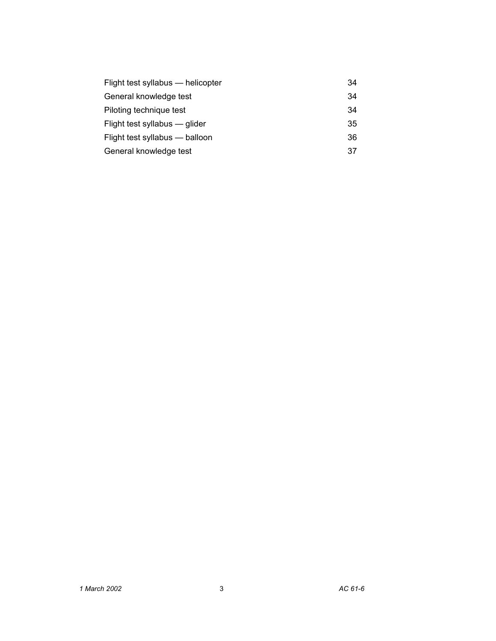| Flight test syllabus — helicopter | 34 |
|-----------------------------------|----|
| General knowledge test            | 34 |
| Piloting technique test           | 34 |
| Flight test syllabus — glider     | 35 |
| Flight test syllabus - balloon    | 36 |
| General knowledge test            | 37 |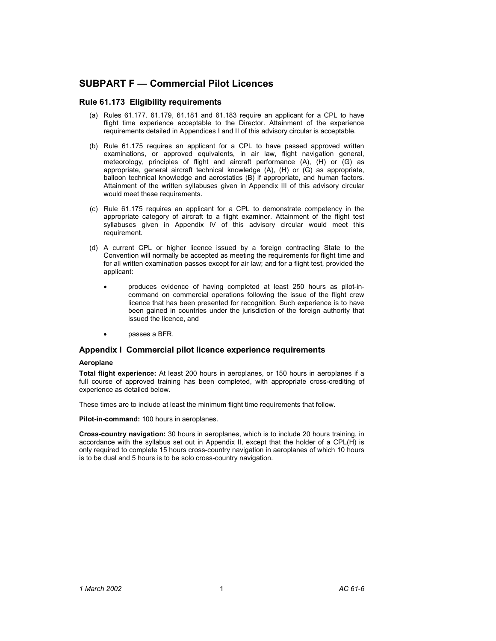# **SUBPART F — Commercial Pilot Licences**

# **Rule 61.173 Eligibility requirements**

- (a) Rules 61.177. 61.179, 61.181 and 61.183 require an applicant for a CPL to have flight time experience acceptable to the Director. Attainment of the experience requirements detailed in Appendices I and II of this advisory circular is acceptable.
- (b) Rule 61.175 requires an applicant for a CPL to have passed approved written examinations, or approved equivalents, in air law, flight navigation general, meteorology, principles of flight and aircraft performance (A), (H) or (G) as appropriate, general aircraft technical knowledge (A), (H) or (G) as appropriate, balloon technical knowledge and aerostatics (B) if appropriate, and human factors. Attainment of the written syllabuses given in Appendix III of this advisory circular would meet these requirements.
- (c) Rule 61.175 requires an applicant for a CPL to demonstrate competency in the appropriate category of aircraft to a flight examiner. Attainment of the flight test syllabuses given in Appendix IV of this advisory circular would meet this requirement.
- (d) A current CPL or higher licence issued by a foreign contracting State to the Convention will normally be accepted as meeting the requirements for flight time and for all written examination passes except for air law; and for a flight test, provided the applicant:
	- produces evidence of having completed at least 250 hours as pilot-incommand on commercial operations following the issue of the flight crew licence that has been presented for recognition. Such experience is to have been gained in countries under the jurisdiction of the foreign authority that issued the licence, and
	- passes a BFR.

# **Appendix I Commercial pilot licence experience requirements**

### **Aeroplane**

**Total flight experience:** At least 200 hours in aeroplanes, or 150 hours in aeroplanes if a full course of approved training has been completed, with appropriate cross-crediting of experience as detailed below.

These times are to include at least the minimum flight time requirements that follow.

**Pilot-in-command:** 100 hours in aeroplanes.

**Cross-country navigation:** 30 hours in aeroplanes, which is to include 20 hours training, in accordance with the syllabus set out in Appendix II, except that the holder of a CPL(H) is only required to complete 15 hours cross-country navigation in aeroplanes of which 10 hours is to be dual and 5 hours is to be solo cross-country navigation.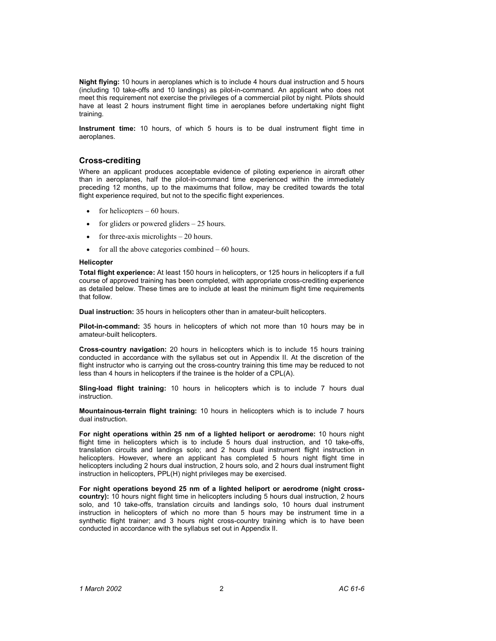**Night flying:** 10 hours in aeroplanes which is to include 4 hours dual instruction and 5 hours (including 10 take-offs and 10 landings) as pilot-in-command. An applicant who does not meet this requirement not exercise the privileges of a commercial pilot by night. Pilots should have at least 2 hours instrument flight time in aeroplanes before undertaking night flight training.

**Instrument time:** 10 hours, of which 5 hours is to be dual instrument flight time in aeroplanes.

# **Cross-crediting**

Where an applicant produces acceptable evidence of piloting experience in aircraft other than in aeroplanes, half the pilot-in-command time experienced within the immediately preceding 12 months, up to the maximums that follow, may be credited towards the total flight experience required, but not to the specific flight experiences.

- for helicopters  $-60$  hours.
- for gliders or powered gliders  $-25$  hours.
- for three-axis microlights  $-20$  hours.
- for all the above categories combined  $-60$  hours.

### **Helicopter**

**Total flight experience:** At least 150 hours in helicopters, or 125 hours in helicopters if a full course of approved training has been completed, with appropriate cross-crediting experience as detailed below. These times are to include at least the minimum flight time requirements that follow.

**Dual instruction:** 35 hours in helicopters other than in amateur-built helicopters.

**Pilot-in-command:** 35 hours in helicopters of which not more than 10 hours may be in amateur-built helicopters.

**Cross-country navigation:** 20 hours in helicopters which is to include 15 hours training conducted in accordance with the syllabus set out in Appendix II. At the discretion of the flight instructor who is carrying out the cross-country training this time may be reduced to not less than 4 hours in helicopters if the trainee is the holder of a CPL(A).

**Sling-load flight training:** 10 hours in helicopters which is to include 7 hours dual instruction.

**Mountainous-terrain flight training:** 10 hours in helicopters which is to include 7 hours dual instruction.

**For night operations within 25 nm of a lighted heliport or aerodrome:** 10 hours night flight time in helicopters which is to include 5 hours dual instruction, and 10 take-offs, translation circuits and landings solo; and 2 hours dual instrument flight instruction in helicopters. However, where an applicant has completed 5 hours night flight time in helicopters including 2 hours dual instruction, 2 hours solo, and 2 hours dual instrument flight instruction in helicopters, PPL(H) night privileges may be exercised.

**For night operations beyond 25 nm of a lighted heliport or aerodrome (night crosscountry):** 10 hours night flight time in helicopters including 5 hours dual instruction, 2 hours solo, and 10 take-offs, translation circuits and landings solo, 10 hours dual instrument instruction in helicopters of which no more than 5 hours may be instrument time in a synthetic flight trainer; and 3 hours night cross-country training which is to have been conducted in accordance with the syllabus set out in Appendix II.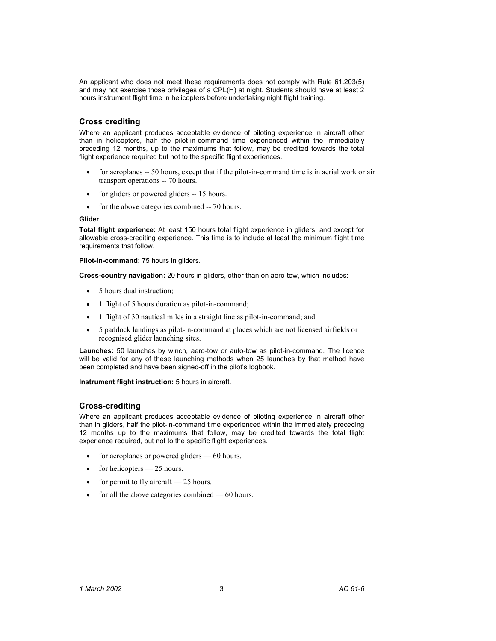An applicant who does not meet these requirements does not comply with Rule 61.203(5) and may not exercise those privileges of a CPL(H) at night. Students should have at least 2 hours instrument flight time in helicopters before undertaking night flight training.

# **Cross crediting**

Where an applicant produces acceptable evidence of piloting experience in aircraft other than in helicopters, half the pilot-in-command time experienced within the immediately preceding 12 months, up to the maximums that follow, may be credited towards the total flight experience required but not to the specific flight experiences.

- for aeroplanes -- 50 hours, except that if the pilot-in-command time is in aerial work or air transport operations -- 70 hours.
- for gliders or powered gliders -- 15 hours.
- for the above categories combined -- 70 hours.

### **Glider**

**Total flight experience:** At least 150 hours total flight experience in gliders, and except for allowable cross-crediting experience. This time is to include at least the minimum flight time requirements that follow.

**Pilot-in-command:** 75 hours in gliders.

**Cross-country navigation:** 20 hours in gliders, other than on aero-tow, which includes:

- 5 hours dual instruction;
- 1 flight of 5 hours duration as pilot-in-command;
- 1 flight of 30 nautical miles in a straight line as pilot-in-command; and
- 5 paddock landings as pilot-in-command at places which are not licensed airfields or recognised glider launching sites.

**Launches:** 50 launches by winch, aero-tow or auto-tow as pilot-in-command. The licence will be valid for any of these launching methods when 25 launches by that method have been completed and have been signed-off in the pilot's logbook.

**Instrument flight instruction:** 5 hours in aircraft.

# **Cross-crediting**

Where an applicant produces acceptable evidence of piloting experience in aircraft other than in gliders, half the pilot-in-command time experienced within the immediately preceding 12 months up to the maximums that follow, may be credited towards the total flight experience required, but not to the specific flight experiences.

- for aeroplanes or powered gliders 60 hours.
- for helicopters  $-25$  hours.
- for permit to fly aircraft  $-25$  hours.
- for all the above categories combined  $-60$  hours.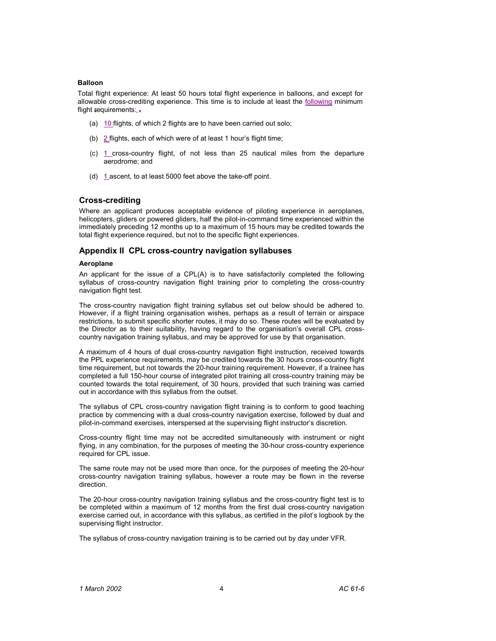### **Balloon**

Total flight experience: At least 50 hours total flight experience in balloons, and except for allowable cross-crediting experience. This time is to include at least the following minimum flight requirements:

- (a) 10 flights, of which 2 flights are to have been carried out solo;
- (b)  $2$  flights, each of which were of at least 1 hour's flight time;
- (c) 1 cross-country flight, of not less than 25 nautical miles from the departure aerodrome; and
- (d) 1 ascent, to at least 5000 feet above the take-off point.

# **Cross-crediting**

Where an applicant produces acceptable evidence of piloting experience in aeroplanes, helicopters, gliders or powered gliders, half the pilot-in-command time experienced within the immediately preceding 12 months up to a maximum of 15 hours may be credited towards the total flight experience required, but not to the specific flight experiences.

### **Appendix II CPL cross-country navigation syllabuses**

### **Aeroplane**

An applicant for the issue of a CPL(A) is to have satisfactorily completed the following syllabus of cross-country navigation flight training prior to completing the cross-country navigation flight test.

The cross-country navigation flight training syllabus set out below should be adhered to. However, if a flight training organisation wishes, perhaps as a result of terrain or airspace restrictions, to submit specific shorter routes, it may do so. These routes will be evaluated by the Director as to their suitability, having regard to the organisation's overall CPL crosscountry navigation training syllabus, and may be approved for use by that organisation.

A maximum of 4 hours of dual cross-country navigation flight instruction, received towards the PPL experience requirements, may be credited towards the 30 hours cross-country flight time requirement, but not towards the 20-hour training requirement. However, if a trainee has completed a full 150-hour course of integrated pilot training all cross-country training may be counted towards the total requirement, of 30 hours, provided that such training was carried out in accordance with this syllabus from the outset.

The syllabus of CPL cross-country navigation flight training is to conform to good teaching practice by commencing with a dual cross-country navigation exercise, followed by dual and pilot-in-command exercises, interspersed at the supervising flight instructor's discretion.

Cross-country flight time may not be accredited simultaneously with instrument or night flying, in any combination, for the purposes of meeting the 30-hour cross-country experience required for CPL issue.

The same route may not be used more than once, for the purposes of meeting the 20-hour cross-country navigation training syllabus, however a route may be flown in the reverse direction.

The 20-hour cross-country navigation training syllabus and the cross-country flight test is to be completed within a maximum of 12 months from the first dual cross-country navigation exercise carried out, in accordance with this syllabus, as certified in the pilot's logbook by the supervising flight instructor.

The syllabus of cross-country navigation training is to be carried out by day under VFR.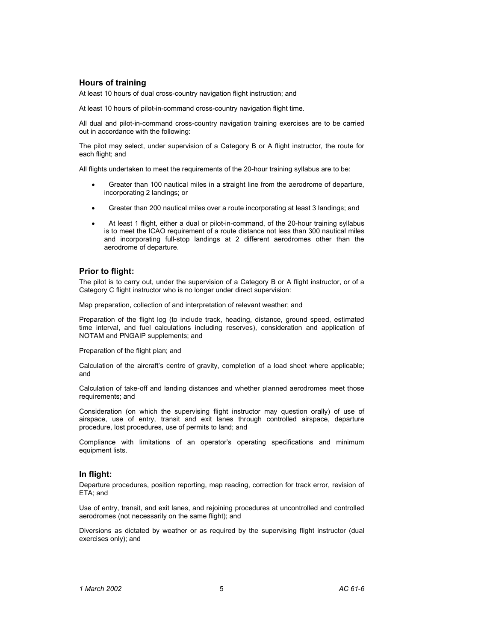# **Hours of training**

At least 10 hours of dual cross-country navigation flight instruction; and

At least 10 hours of pilot-in-command cross-country navigation flight time.

All dual and pilot-in-command cross-country navigation training exercises are to be carried out in accordance with the following:

The pilot may select, under supervision of a Category B or A flight instructor, the route for each flight; and

All flights undertaken to meet the requirements of the 20-hour training syllabus are to be:

- Greater than 100 nautical miles in a straight line from the aerodrome of departure, incorporating 2 landings; or
- Greater than 200 nautical miles over a route incorporating at least 3 landings; and
- At least 1 flight, either a dual or pilot-in-command, of the 20-hour training syllabus is to meet the ICAO requirement of a route distance not less than 300 nautical miles and incorporating full-stop landings at 2 different aerodromes other than the aerodrome of departure.

## **Prior to flight:**

The pilot is to carry out, under the supervision of a Category B or A flight instructor, or of a Category C flight instructor who is no longer under direct supervision:

Map preparation, collection of and interpretation of relevant weather; and

Preparation of the flight log (to include track, heading, distance, ground speed, estimated time interval, and fuel calculations including reserves), consideration and application of NOTAM and PNGAIP supplements; and

Preparation of the flight plan; and

Calculation of the aircraft's centre of gravity, completion of a load sheet where applicable; and

Calculation of take-off and landing distances and whether planned aerodromes meet those requirements; and

Consideration (on which the supervising flight instructor may question orally) of use of airspace, use of entry, transit and exit lanes through controlled airspace, departure procedure, lost procedures, use of permits to land; and

Compliance with limitations of an operator's operating specifications and minimum equipment lists.

# **In flight:**

Departure procedures, position reporting, map reading, correction for track error, revision of ETA; and

Use of entry, transit, and exit lanes, and rejoining procedures at uncontrolled and controlled aerodromes (not necessarily on the same flight); and

Diversions as dictated by weather or as required by the supervising flight instructor (dual exercises only); and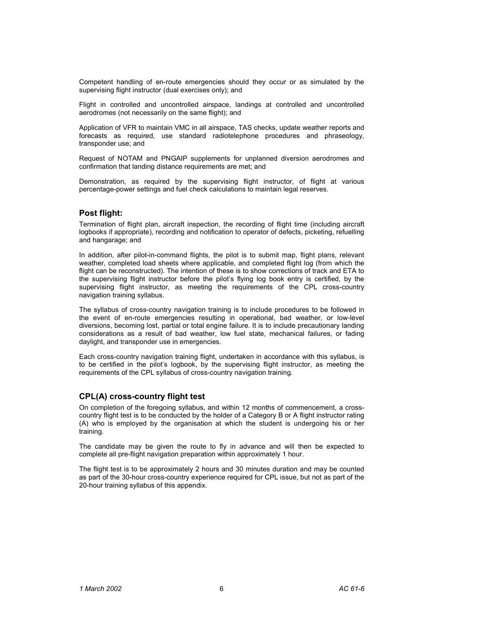Competent handling of en-route emergencies should they occur or as simulated by the supervising flight instructor (dual exercises only); and

Flight in controlled and uncontrolled airspace, landings at controlled and uncontrolled aerodromes (not necessarily on the same flight); and

Application of VFR to maintain VMC in all airspace, TAS checks, update weather reports and forecasts as required, use standard radiotelephone procedures and phraseology, transponder use; and

Request of NOTAM and PNGAIP supplements for unplanned diversion aerodromes and confirmation that landing distance requirements are met; and

Demonstration, as required by the supervising flight instructor, of flight at various percentage-power settings and fuel check calculations to maintain legal reserves.

# **Post flight:**

Termination of flight plan, aircraft inspection, the recording of flight time (including aircraft logbooks if appropriate), recording and notification to operator of defects, picketing, refuelling and hangarage; and

In addition, after pilot-in-command flights, the pilot is to submit map, flight plans, relevant weather, completed load sheets where applicable, and completed flight log (from which the flight can be reconstructed). The intention of these is to show corrections of track and ETA to the supervising flight instructor before the pilot's flying log book entry is certified, by the supervising flight instructor, as meeting the requirements of the CPL cross-country navigation training syllabus.

The syllabus of cross-country navigation training is to include procedures to be followed in the event of en-route emergencies resulting in operational, bad weather, or low-level diversions, becoming lost, partial or total engine failure. It is to include precautionary landing considerations as a result of bad weather, low fuel state, mechanical failures, or fading daylight, and transponder use in emergencies.

Each cross-country navigation training flight, undertaken in accordance with this syllabus, is to be certified in the pilot's logbook, by the supervising flight instructor, as meeting the requirements of the CPL syllabus of cross-country navigation training.

# **CPL(A) cross-country flight test**

On completion of the foregoing syllabus, and within 12 months of commencement, a crosscountry flight test is to be conducted by the holder of a Category B or A flight instructor rating (A) who is employed by the organisation at which the student is undergoing his or her training.

The candidate may be given the route to fly in advance and will then be expected to complete all pre-flight navigation preparation within approximately 1 hour.

The flight test is to be approximately 2 hours and 30 minutes duration and may be counted as part of the 30-hour cross-country experience required for CPL issue, but not as part of the 20-hour training syllabus of this appendix.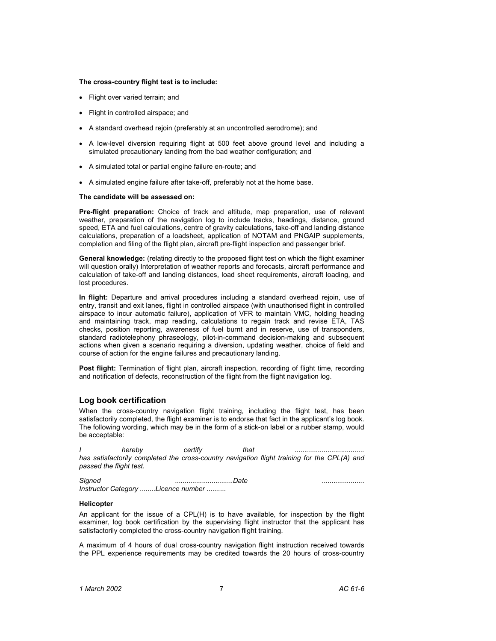#### **The cross-country flight test is to include:**

- Flight over varied terrain; and
- Flight in controlled airspace; and
- A standard overhead rejoin (preferably at an uncontrolled aerodrome); and
- A low-level diversion requiring flight at 500 feet above ground level and including a simulated precautionary landing from the bad weather configuration; and
- A simulated total or partial engine failure en-route; and
- A simulated engine failure after take-off, preferably not at the home base.

### **The candidate will be assessed on:**

**Pre-flight preparation:** Choice of track and altitude, map preparation, use of relevant weather, preparation of the navigation log to include tracks, headings, distance, ground speed, ETA and fuel calculations, centre of gravity calculations, take-off and landing distance calculations, preparation of a loadsheet, application of NOTAM and PNGAIP supplements, completion and filing of the flight plan, aircraft pre-flight inspection and passenger brief.

**General knowledge:** (relating directly to the proposed flight test on which the flight examiner will question orally) Interpretation of weather reports and forecasts, aircraft performance and calculation of take-off and landing distances, load sheet requirements, aircraft loading, and lost procedures.

**In flight:** Departure and arrival procedures including a standard overhead rejoin, use of entry, transit and exit lanes, flight in controlled airspace (with unauthorised flight in controlled airspace to incur automatic failure), application of VFR to maintain VMC, holding heading and maintaining track, map reading, calculations to regain track and revise ETA, TAS checks, position reporting, awareness of fuel burnt and in reserve, use of transponders, standard radiotelephony phraseology, pilot-in-command decision-making and subsequent actions when given a scenario requiring a diversion, updating weather, choice of field and course of action for the engine failures and precautionary landing.

**Post flight:** Termination of flight plan, aircraft inspection, recording of flight time, recording and notification of defects, reconstruction of the flight from the flight navigation log.

## **Log book certification**

When the cross-country navigation flight training, including the flight test, has been satisfactorily completed, the flight examiner is to endorse that fact in the applicant's log book. The following wording, which may be in the form of a stick-on label or a rubber stamp, would be acceptable:

*I hereby certify that ....................................*  has satisfactorily completed the cross-country navigation flight training for the CPL(A) and *passed the flight test.* 

| Signed | <i>.Date</i>                       |  |
|--------|------------------------------------|--|
|        | Instructor Category Licence number |  |

### **Helicopter**

An applicant for the issue of a CPL(H) is to have available, for inspection by the flight examiner, log book certification by the supervising flight instructor that the applicant has satisfactorily completed the cross-country navigation flight training.

A maximum of 4 hours of dual cross-country navigation flight instruction received towards the PPL experience requirements may be credited towards the 20 hours of cross-country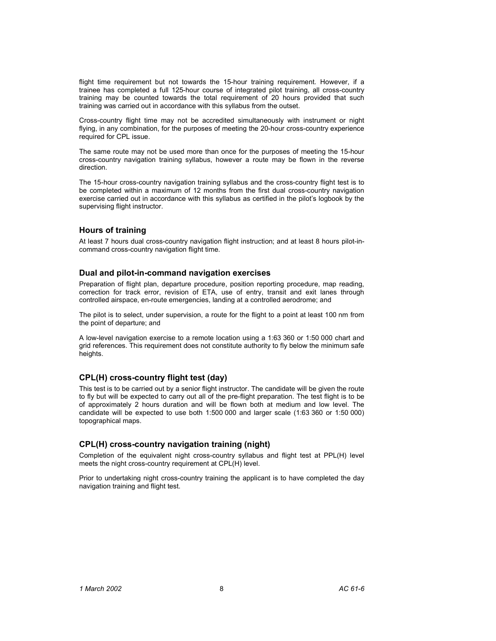flight time requirement but not towards the 15-hour training requirement. However, if a trainee has completed a full 125-hour course of integrated pilot training, all cross-country training may be counted towards the total requirement of 20 hours provided that such training was carried out in accordance with this syllabus from the outset.

Cross-country flight time may not be accredited simultaneously with instrument or night flying, in any combination, for the purposes of meeting the 20-hour cross-country experience required for CPL issue.

The same route may not be used more than once for the purposes of meeting the 15-hour cross-country navigation training syllabus, however a route may be flown in the reverse direction.

The 15-hour cross-country navigation training syllabus and the cross-country flight test is to be completed within a maximum of 12 months from the first dual cross-country navigation exercise carried out in accordance with this syllabus as certified in the pilot's logbook by the supervising flight instructor.

# **Hours of training**

At least 7 hours dual cross-country navigation flight instruction; and at least 8 hours pilot-incommand cross-country navigation flight time.

### **Dual and pilot-in-command navigation exercises**

Preparation of flight plan, departure procedure, position reporting procedure, map reading, correction for track error, revision of ETA, use of entry, transit and exit lanes through controlled airspace, en-route emergencies, landing at a controlled aerodrome; and

The pilot is to select, under supervision, a route for the flight to a point at least 100 nm from the point of departure; and

A low-level navigation exercise to a remote location using a 1:63 360 or 1:50 000 chart and grid references. This requirement does not constitute authority to fly below the minimum safe heights.

# **CPL(H) cross-country flight test (day)**

This test is to be carried out by a senior flight instructor. The candidate will be given the route to fly but will be expected to carry out all of the pre-flight preparation. The test flight is to be of approximately 2 hours duration and will be flown both at medium and low level. The candidate will be expected to use both 1:500 000 and larger scale (1:63 360 or 1:50 000) topographical maps.

# **CPL(H) cross-country navigation training (night)**

Completion of the equivalent night cross-country syllabus and flight test at PPL(H) level meets the night cross-country requirement at CPL(H) level.

Prior to undertaking night cross-country training the applicant is to have completed the day navigation training and flight test.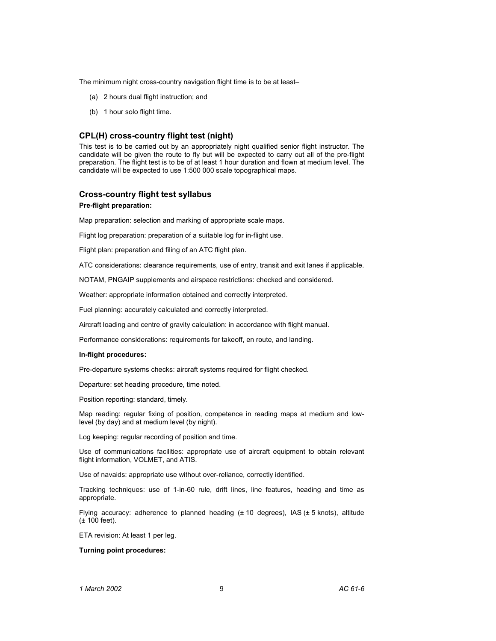The minimum night cross-country navigation flight time is to be at least–

- (a) 2 hours dual flight instruction; and
- (b) 1 hour solo flight time.

### **CPL(H) cross-country flight test (night)**

This test is to be carried out by an appropriately night qualified senior flight instructor. The candidate will be given the route to fly but will be expected to carry out all of the pre-flight preparation. The flight test is to be of at least 1 hour duration and flown at medium level. The candidate will be expected to use 1:500 000 scale topographical maps.

# **Cross-country flight test syllabus**

### **Pre-flight preparation:**

Map preparation: selection and marking of appropriate scale maps.

Flight log preparation: preparation of a suitable log for in-flight use.

Flight plan: preparation and filing of an ATC flight plan.

ATC considerations: clearance requirements, use of entry, transit and exit lanes if applicable.

NOTAM, PNGAIP supplements and airspace restrictions: checked and considered.

Weather: appropriate information obtained and correctly interpreted.

Fuel planning: accurately calculated and correctly interpreted.

Aircraft loading and centre of gravity calculation: in accordance with flight manual.

Performance considerations: requirements for takeoff, en route, and landing.

### **In-flight procedures:**

Pre-departure systems checks: aircraft systems required for flight checked.

Departure: set heading procedure, time noted.

Position reporting: standard, timely.

Map reading: regular fixing of position, competence in reading maps at medium and lowlevel (by day) and at medium level (by night).

Log keeping: regular recording of position and time.

Use of communications facilities: appropriate use of aircraft equipment to obtain relevant flight information, VOLMET, and ATIS.

Use of navaids: appropriate use without over-reliance, correctly identified.

Tracking techniques: use of 1-in-60 rule, drift lines, line features, heading and time as appropriate.

Flying accuracy: adherence to planned heading  $(\pm 10$  degrees), IAS  $(\pm 5$  knots), altitude (± 100 feet).

ETA revision: At least 1 per leg.

### **Turning point procedures:**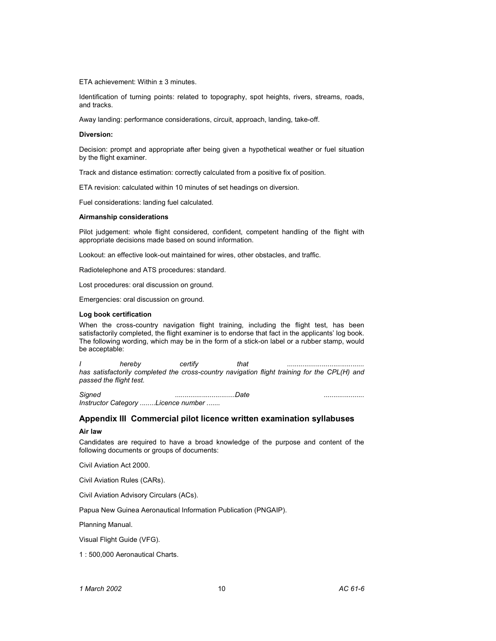ETA achievement: Within ± 3 minutes.

Identification of turning points: related to topography, spot heights, rivers, streams, roads, and tracks.

Away landing: performance considerations, circuit, approach, landing, take-off.

#### **Diversion:**

Decision: prompt and appropriate after being given a hypothetical weather or fuel situation by the flight examiner.

Track and distance estimation: correctly calculated from a positive fix of position.

ETA revision: calculated within 10 minutes of set headings on diversion.

Fuel considerations: landing fuel calculated.

#### **Airmanship considerations**

Pilot judgement: whole flight considered, confident, competent handling of the flight with appropriate decisions made based on sound information.

Lookout: an effective look-out maintained for wires, other obstacles, and traffic.

Radiotelephone and ATS procedures: standard.

Lost procedures: oral discussion on ground.

Emergencies: oral discussion on ground.

#### **Log book certification**

When the cross-country navigation flight training, including the flight test, has been satisfactorily completed, the flight examiner is to endorse that fact in the applicants' log book. The following wording, which may be in the form of a stick-on label or a rubber stamp, would be acceptable:

*I hereby certify that ........................................ has satisfactorily completed the cross-country navigation flight training for the CPL(H) and passed the flight test.* 

*Signed ...............................Date ..................... Instructor Category ........Licence number .......* 

# **Appendix III Commercial pilot licence written examination syllabuses**

### **Air law**

Candidates are required to have a broad knowledge of the purpose and content of the following documents or groups of documents:

Civil Aviation Act 2000.

Civil Aviation Rules (CARs).

Civil Aviation Advisory Circulars (ACs).

Papua New Guinea Aeronautical Information Publication (PNGAIP).

Planning Manual.

Visual Flight Guide (VFG).

1 : 500,000 Aeronautical Charts.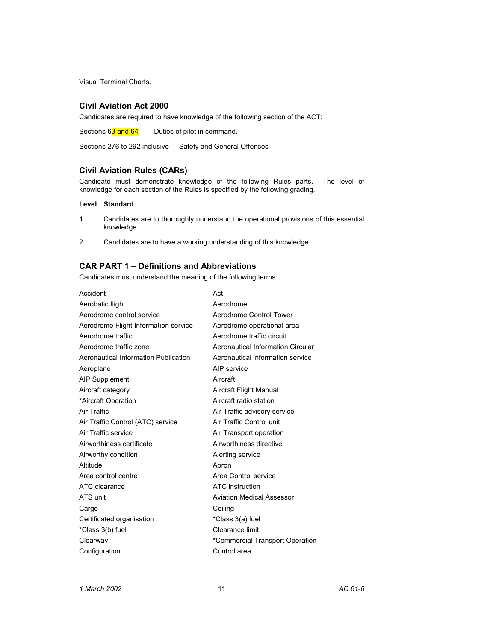Visual Terminal Charts.

# **Civil Aviation Act 2000**

Candidates are required to have knowledge of the following section of the ACT:

Sections 63 and 64 Duties of pilot in command.

Sections 276 to 292 inclusive Safety and General Offences

# **Civil Aviation Rules (CARs)**

Candidate must demonstrate knowledge of the following Rules parts. The level of knowledge for each section of the Rules is specified by the following grading.

### **Level Standard**

- 1 Candidates are to thoroughly understand the operational provisions of this essential knowledge.
- 2 Candidates are to have a working understanding of this knowledge.

# **CAR PART 1 – Definitions and Abbreviations**

Candidates must understand the meaning of the following terms:

| Accident                             | Act                               |
|--------------------------------------|-----------------------------------|
| Aerobatic flight                     | Aerodrome                         |
| Aerodrome control service            | Aerodrome Control Tower           |
| Aerodrome Flight Information service | Aerodrome operational area        |
| Aerodrome traffic                    | Aerodrome traffic circuit         |
| Aerodrome traffic zone               | Aeronautical Information Circular |
| Aeronautical Information Publication | Aeronautical information service  |
| Aeroplane                            | AIP service                       |
| <b>AIP Supplement</b>                | Aircraft                          |
| Aircraft category                    | <b>Aircraft Flight Manual</b>     |
| *Aircraft Operation                  | Aircraft radio station            |
| Air Traffic                          | Air Traffic advisory service      |
| Air Traffic Control (ATC) service    | Air Traffic Control unit          |
| Air Traffic service                  | Air Transport operation           |
| Airworthiness certificate            | Airworthiness directive           |
| Airworthy condition                  | Alerting service                  |
| Altitude                             | Apron                             |
| Area control centre                  | Area Control service              |
| ATC clearance                        | ATC instruction                   |
| ATS unit                             | <b>Aviation Medical Assessor</b>  |
| Cargo                                | Ceiling                           |
| Certificated organisation            | *Class 3(a) fuel                  |
| *Class 3(b) fuel                     | Clearance limit                   |
| Clearway                             | *Commercial Transport Operation   |
| Configuration                        | Control area                      |
|                                      |                                   |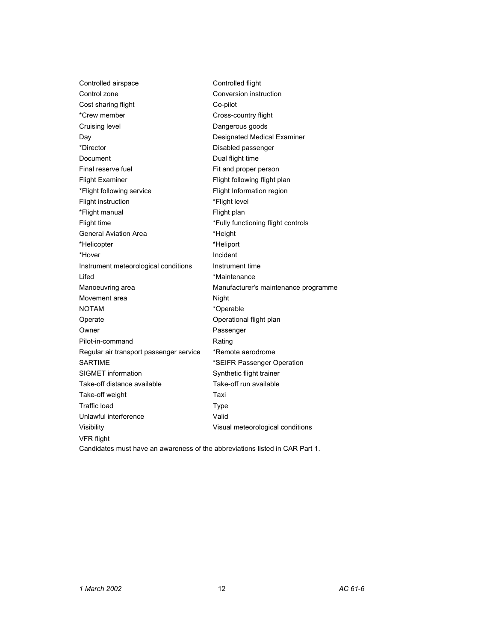| Controlled airspace                                                          | Controlled flight                    |
|------------------------------------------------------------------------------|--------------------------------------|
| Control zone                                                                 | Conversion instruction               |
| Cost sharing flight                                                          | Co-pilot                             |
| *Crew member                                                                 | Cross-country flight                 |
| Cruising level                                                               | Dangerous goods                      |
| Day                                                                          | Designated Medical Examiner          |
| *Director                                                                    | Disabled passenger                   |
| Document                                                                     | Dual flight time                     |
| Final reserve fuel                                                           | Fit and proper person                |
| <b>Flight Examiner</b>                                                       | Flight following flight plan         |
| *Flight following service                                                    | Flight Information region            |
| Flight instruction                                                           | *Flight level                        |
| *Flight manual                                                               | Flight plan                          |
| Flight time                                                                  | *Fully functioning flight controls   |
| <b>General Aviation Area</b>                                                 | *Height                              |
| *Helicopter                                                                  | *Heliport                            |
| *Hover                                                                       | Incident                             |
| Instrument meteorological conditions                                         | Instrument time                      |
| Lifed                                                                        | *Maintenance                         |
| Manoeuvring area                                                             | Manufacturer's maintenance programme |
| Movement area                                                                | Night                                |
| <b>NOTAM</b>                                                                 | *Operable                            |
| Operate                                                                      | Operational flight plan              |
| Owner                                                                        | Passenger                            |
| Pilot-in-command                                                             | Rating                               |
| Regular air transport passenger service                                      | *Remote aerodrome                    |
| <b>SARTIME</b>                                                               | *SEIFR Passenger Operation           |
| <b>SIGMET</b> information                                                    | Synthetic flight trainer             |
| Take-off distance available                                                  | Take-off run available               |
| Take-off weight                                                              | Taxi                                 |
| <b>Traffic load</b>                                                          | <b>Type</b>                          |
| Unlawful interference                                                        | Valid                                |
| Visibility                                                                   | Visual meteorological conditions     |
| <b>VFR flight</b>                                                            |                                      |
| Candidates must have an awareness of the abbreviations listed in CAR Part 1. |                                      |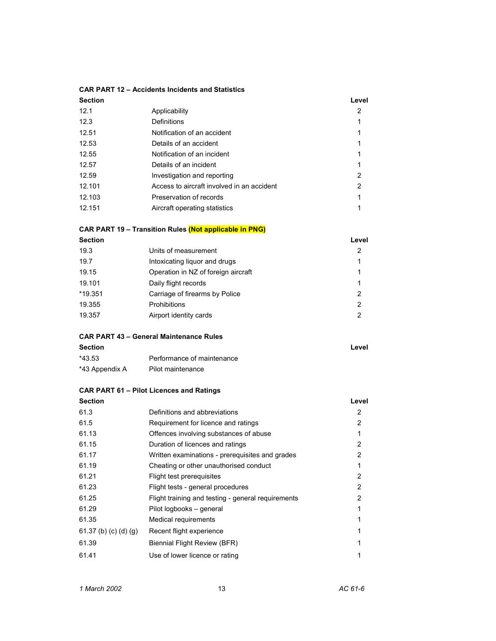# **CAR PART 12 – Accidents Incidents and Statistics**

| <b>Section</b> |                                            | Level          |
|----------------|--------------------------------------------|----------------|
| 12.1           | Applicability                              | 2              |
| 12.3           | Definitions                                |                |
| 12.51          | Notification of an accident                |                |
| 12.53          | Details of an accident                     |                |
| 12.55          | Notification of an incident                |                |
| 12.57          | Details of an incident                     |                |
| 12.59          | Investigation and reporting                | $\mathfrak{p}$ |
| 12.101         | Access to aircraft involved in an accident | 2              |
| 12.103         | Preservation of records                    |                |
| 12.151         | Aircraft operating statistics              |                |
|                |                                            |                |

# **CAR PART 19 – Transition Rules (Not applicable in PNG)**

| <b>Section</b> |                                     | Level         |
|----------------|-------------------------------------|---------------|
| 19.3           | Units of measurement                | 2             |
| 19.7           | Intoxicating liquor and drugs       | 1             |
| 19.15          | Operation in NZ of foreign aircraft | 1             |
| 19.101         | Daily flight records                | 1             |
| *19.351        | Carriage of firearms by Police      | 2             |
| 19.355         | <b>Prohibitions</b>                 | $\mathcal{P}$ |
| 19.357         | Airport identity cards              | 2             |
|                |                                     |               |

# **CAR PART 43 – General Maintenance Rules**

| <b>Section</b> |                            | Level |
|----------------|----------------------------|-------|
| *43.53         | Performance of maintenance |       |
| *43 Appendix A | Pilot maintenance          |       |

# **CAR PART 61 – Pilot Licences and Ratings**

| <b>Section</b>        |                                                    | Level |
|-----------------------|----------------------------------------------------|-------|
| 61.3                  | Definitions and abbreviations                      | 2     |
| 61.5                  | Requirement for licence and ratings                | 2     |
| 61.13                 | Offences involving substances of abuse             |       |
| 61.15                 | Duration of licences and ratings                   | 2     |
| 61.17                 | Written examinations - prerequisites and grades    | 2     |
| 61.19                 | Cheating or other unauthorised conduct             |       |
| 61.21                 | Flight test prerequisites                          | 2     |
| 61.23                 | Flight tests - general procedures                  | 2     |
| 61.25                 | Flight training and testing - general requirements | 2     |
| 61.29                 | Pilot logbooks - general                           |       |
| 61.35                 | Medical requirements                               |       |
| 61.37 (b) (c) (d) (g) | Recent flight experience                           |       |
| 61.39                 | Biennial Flight Review (BFR)                       |       |
| 61.41                 | Use of lower licence or rating                     |       |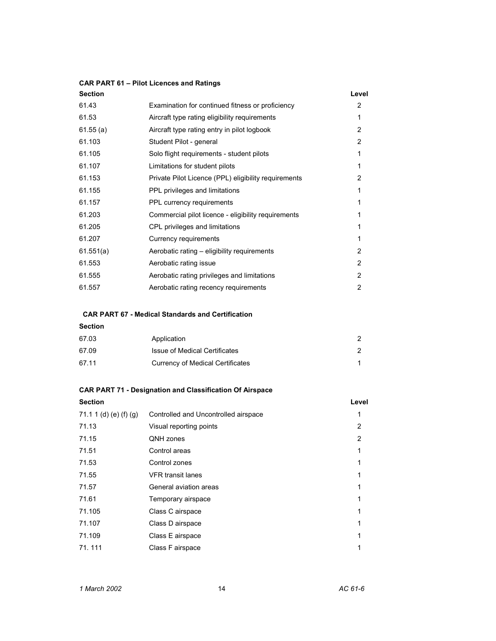# **CAR PART 61 – Pilot Licences and Ratings**

| <b>Section</b> |                                                      | Level          |
|----------------|------------------------------------------------------|----------------|
| 61.43          | Examination for continued fitness or proficiency     | 2              |
| 61.53          | Aircraft type rating eligibility requirements        | 1              |
| 61.55(a)       | Aircraft type rating entry in pilot logbook          | $\overline{2}$ |
| 61.103         | Student Pilot - general                              | $\mathbf{2}$   |
| 61.105         | Solo flight requirements - student pilots            | 1              |
| 61.107         | Limitations for student pilots                       | 1              |
| 61.153         | Private Pilot Licence (PPL) eligibility requirements | $\overline{2}$ |
| 61.155         | PPL privileges and limitations                       | 1              |
| 61.157         | PPL currency requirements                            |                |
| 61.203         | Commercial pilot licence - eligibility requirements  | 1              |
| 61.205         | CPL privileges and limitations                       |                |
| 61.207         | Currency requirements                                |                |
| 61.551(a)      | Aerobatic rating – eligibility requirements          | 2              |
| 61.553         | Aerobatic rating issue                               | $\overline{2}$ |
| 61.555         | Aerobatic rating privileges and limitations          | $\overline{2}$ |
| 61.557         | Aerobatic rating recency requirements                | 2              |
|                |                                                      |                |

# **CAR PART 67 - Medical Standards and Certification**

# **Section**

| 67.03 | Application                      |  |
|-------|----------------------------------|--|
| 67.09 | Issue of Medical Certificates    |  |
| 67.11 | Currency of Medical Certificates |  |

# **CAR PART 71 - Designation and Classification Of Airspace**

| <b>Section</b>         |                                      | Level |
|------------------------|--------------------------------------|-------|
| 71.1 1 (d) (e) (f) (g) | Controlled and Uncontrolled airspace |       |
| 71.13                  | Visual reporting points              | 2     |
| 71.15                  | QNH zones                            | 2     |
| 71.51                  | Control areas                        |       |
| 71.53                  | Control zones                        |       |
| 71.55                  | <b>VFR</b> transit lanes             |       |
| 71.57                  | General aviation areas               |       |
| 71.61                  | Temporary airspace                   |       |
| 71.105                 | Class C airspace                     |       |
| 71.107                 | Class D airspace                     |       |
| 71.109                 | Class E airspace                     |       |
| 71.111                 | Class F airspace                     |       |
|                        |                                      |       |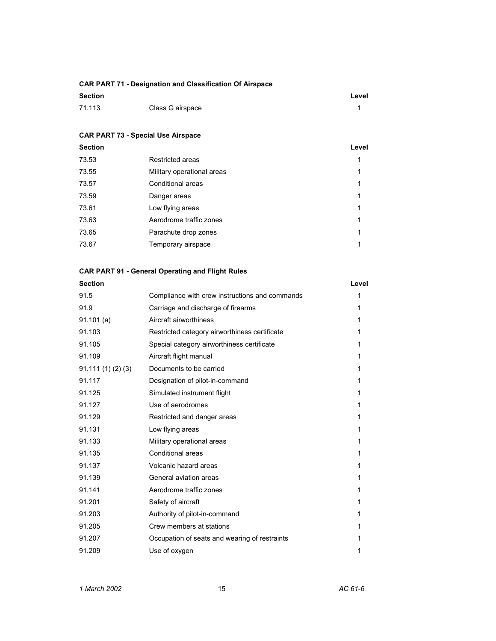# **CAR PART 71 - Designation and Classification Of Airspace**

| <b>Section</b> |                  | Level |
|----------------|------------------|-------|
| 71.113         | Class G airspace |       |

# **CAR PART 73 - Special Use Airspace**

| <b>Section</b> |                            | Level |
|----------------|----------------------------|-------|
| 73.53          | Restricted areas           | 1     |
| 73.55          | Military operational areas | 1     |
| 73.57          | Conditional areas          | 1     |
| 73.59          | Danger areas               | 1     |
| 73.61          | Low flying areas           | 1     |
| 73.63          | Aerodrome traffic zones    | 1     |
| 73.65          | Parachute drop zones       | 1     |
| 73.67          | Temporary airspace         | 1     |
|                |                            |       |

# **CAR PART 91 - General Operating and Flight Rules**

| <b>Section</b>  |                                                | Level |
|-----------------|------------------------------------------------|-------|
| 91.5            | Compliance with crew instructions and commands | 1     |
| 91.9            | Carriage and discharge of firearms             | 1     |
| 91.101(a)       | Aircraft airworthiness                         | 1     |
| 91.103          | Restricted category airworthiness certificate  | 1     |
| 91.105          | Special category airworthiness certificate     | 1     |
| 91.109          | Aircraft flight manual                         | 1     |
| 91.111(1)(2)(3) | Documents to be carried                        | 1     |
| 91.117          | Designation of pilot-in-command                | 1     |
| 91.125          | Simulated instrument flight                    | 1     |
| 91.127          | Use of aerodromes                              | 1     |
| 91.129          | Restricted and danger areas                    | 1     |
| 91.131          | Low flying areas                               | 1     |
| 91.133          | Military operational areas                     | 1     |
| 91.135          | Conditional areas                              | 1     |
| 91.137          | Volcanic hazard areas                          | 1     |
| 91.139          | General aviation areas                         | 1     |
| 91.141          | Aerodrome traffic zones                        | 1     |
| 91.201          | Safety of aircraft                             | 1     |
| 91.203          | Authority of pilot-in-command                  | 1     |
| 91.205          | Crew members at stations                       | 1     |
| 91.207          | Occupation of seats and wearing of restraints  | 1     |
| 91.209          | Use of oxygen                                  | 1     |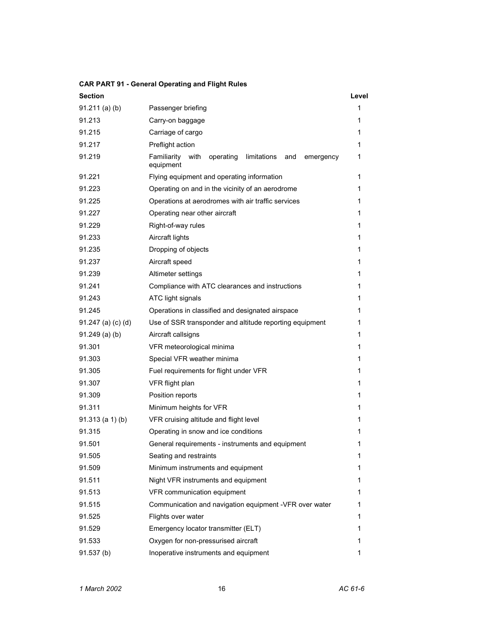# **CAR PART 91 - General Operating and Flight Rules**

| <b>Section</b>       |                                                                                  | Level |
|----------------------|----------------------------------------------------------------------------------|-------|
| $91.211$ (a) (b)     | Passenger briefing                                                               | 1     |
| 91.213               | Carry-on baggage                                                                 | 1     |
| 91.215               | Carriage of cargo                                                                | 1     |
| 91.217               | Preflight action                                                                 | 1     |
| 91.219               | with<br>Familiarity<br>operating<br>limitations<br>and<br>emergency<br>equipment | 1     |
| 91.221               | Flying equipment and operating information                                       | 1     |
| 91.223               | Operating on and in the vicinity of an aerodrome                                 | 1     |
| 91.225               | Operations at aerodromes with air traffic services                               | 1     |
| 91.227               | Operating near other aircraft                                                    | 1     |
| 91.229               | Right-of-way rules                                                               | 1     |
| 91.233               | Aircraft lights                                                                  | 1     |
| 91.235               | Dropping of objects                                                              | 1     |
| 91.237               | Aircraft speed                                                                   | 1     |
| 91.239               | Altimeter settings                                                               | 1     |
| 91.241               | Compliance with ATC clearances and instructions                                  | 1     |
| 91.243               | ATC light signals                                                                | 1     |
| 91.245               | Operations in classified and designated airspace                                 | 1     |
| $91.247$ (a) (c) (d) | Use of SSR transponder and altitude reporting equipment                          | 1     |
| $91.249$ (a) (b)     | Aircraft callsigns                                                               | 1     |
| 91.301               | VFR meteorological minima                                                        | 1     |
| 91.303               | Special VFR weather minima                                                       | 1     |
| 91.305               | Fuel requirements for flight under VFR                                           | 1     |
| 91.307               | VFR flight plan                                                                  | 1     |
| 91.309               | Position reports                                                                 | 1     |
| 91.311               | Minimum heights for VFR                                                          | 1     |
| $91.313$ (a 1) (b)   | VFR cruising altitude and flight level                                           | 1     |
| 91.315               | Operating in snow and ice conditions                                             | 1     |
| 91.501               | General requirements - instruments and equipment                                 | 1     |
| 91.505               | Seating and restraints                                                           | 1     |
| 91.509               | Minimum instruments and equipment                                                | 1     |
| 91.511               | Night VFR instruments and equipment                                              | 1     |
| 91.513               | VFR communication equipment                                                      | 1     |
| 91.515               | Communication and navigation equipment -VFR over water                           | 1     |
| 91.525               | Flights over water                                                               | 1     |
| 91.529               | Emergency locator transmitter (ELT)                                              | 1     |
| 91.533               | Oxygen for non-pressurised aircraft                                              | 1     |
| 91.537(b)            | Inoperative instruments and equipment                                            | 1     |
|                      |                                                                                  |       |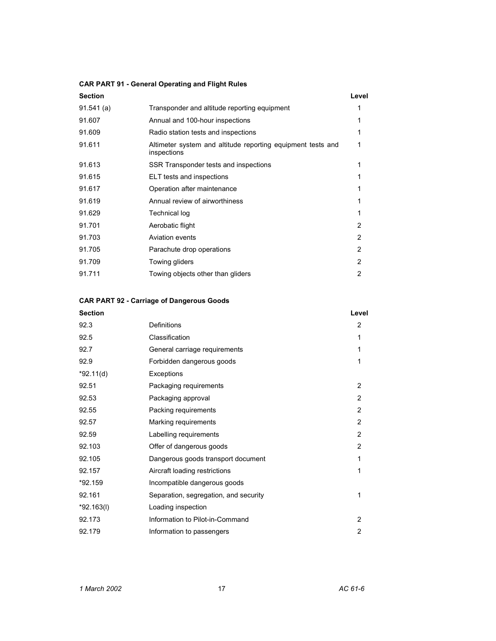# **CAR PART 91 - General Operating and Flight Rules**

| Section    |                                              | Level |
|------------|----------------------------------------------|-------|
| 91.541 (a) | Transponder and altitude reporting equipment |       |
| 91.607     | Annual and 100-hour inspections              |       |
| 91.609     | Radio station tests and inspections          |       |

| 91.611 | Altimeter system and altitude reporting equipment tests and<br>inspections | 1              |
|--------|----------------------------------------------------------------------------|----------------|
| 91.613 | SSR Transponder tests and inspections                                      | 1              |
| 91.615 | ELT tests and inspections                                                  | 1              |
| 91.617 | Operation after maintenance                                                | 1              |
| 91.619 | Annual review of airworthiness                                             | 1              |
| 91.629 | <b>Technical log</b>                                                       | 1              |
| 91.701 | Aerobatic flight                                                           | $\overline{2}$ |
| 91.703 | Aviation events                                                            | $\overline{2}$ |
| 91.705 | Parachute drop operations                                                  | 2              |
| 91.709 | Towing gliders                                                             | 2              |
| 91.711 | Towing objects other than gliders                                          | 2              |
|        |                                                                            |                |

# **CAR PART 92 - Carriage of Dangerous Goods**

|                                       | Level          |
|---------------------------------------|----------------|
| Definitions                           | $\overline{2}$ |
| Classification                        | 1              |
| General carriage requirements         | 1              |
| Forbidden dangerous goods             | 1              |
| Exceptions                            |                |
| Packaging requirements                | $\overline{2}$ |
| Packaging approval                    | $\overline{2}$ |
| Packing requirements                  | $\overline{2}$ |
| Marking requirements                  | $\overline{2}$ |
| Labelling requirements                | $\overline{2}$ |
| Offer of dangerous goods              | $\overline{2}$ |
| Dangerous goods transport document    | 1              |
| Aircraft loading restrictions         | 1              |
| Incompatible dangerous goods          |                |
| Separation, segregation, and security | 1              |
| Loading inspection                    |                |
| Information to Pilot-in-Command       | $\overline{2}$ |
| Information to passengers             | $\overline{2}$ |
|                                       |                |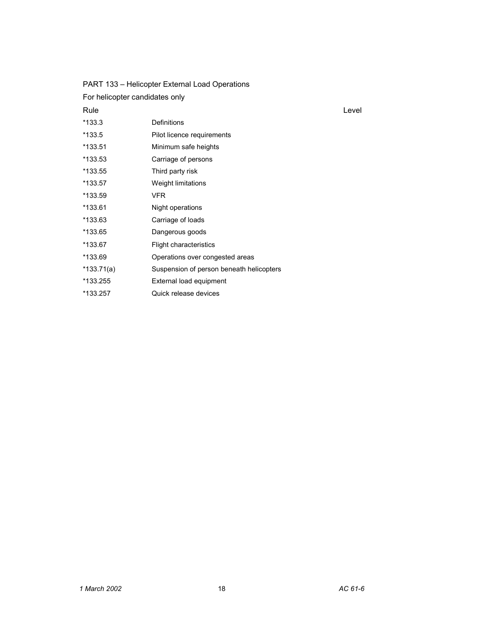| PART 133 – Helicopter External Load Operations |                                          |       |  |
|------------------------------------------------|------------------------------------------|-------|--|
| For helicopter candidates only                 |                                          |       |  |
| Rule                                           |                                          | Level |  |
| $*133.3$                                       | Definitions                              |       |  |
| $*133.5$                                       | Pilot licence requirements               |       |  |
| *133.51                                        | Minimum safe heights                     |       |  |
| *133.53                                        | Carriage of persons                      |       |  |
| *133.55                                        | Third party risk                         |       |  |
| *133.57                                        | Weight limitations                       |       |  |
| *133.59                                        | <b>VFR</b>                               |       |  |
| *133.61                                        | Night operations                         |       |  |
| *133.63                                        | Carriage of loads                        |       |  |
| *133.65                                        | Dangerous goods                          |       |  |
| *133.67                                        | Flight characteristics                   |       |  |
| *133.69                                        | Operations over congested areas          |       |  |
| $*133.71(a)$                                   | Suspension of person beneath helicopters |       |  |
| *133.255                                       | External load equipment                  |       |  |
| *133.257                                       | Quick release devices                    |       |  |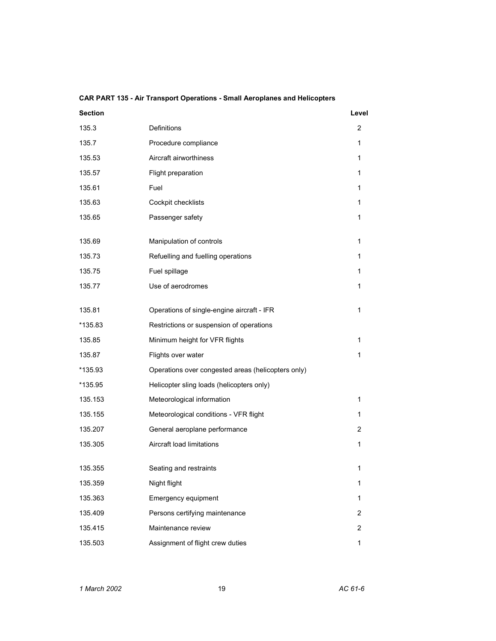| <b>Section</b> |                                                    | Level |
|----------------|----------------------------------------------------|-------|
| 135.3          | Definitions                                        | 2     |
| 135.7          | Procedure compliance                               | 1     |
| 135.53         | Aircraft airworthiness                             | 1     |
| 135.57         | Flight preparation                                 | 1     |
| 135.61         | Fuel                                               | 1     |
| 135.63         | Cockpit checklists                                 | 1     |
| 135.65         | Passenger safety                                   | 1     |
| 135.69         | Manipulation of controls                           | 1     |
| 135.73         | Refuelling and fuelling operations                 | 1     |
| 135.75         | Fuel spillage                                      | 1     |
| 135.77         | Use of aerodromes                                  | 1     |
| 135.81         | Operations of single-engine aircraft - IFR         | 1     |
| *135.83        | Restrictions or suspension of operations           |       |
| 135.85         | Minimum height for VFR flights                     | 1     |
| 135.87         | Flights over water                                 | 1     |
| *135.93        | Operations over congested areas (helicopters only) |       |
| *135.95        | Helicopter sling loads (helicopters only)          |       |
| 135.153        | Meteorological information                         | 1     |
| 135.155        | Meteorological conditions - VFR flight             | 1     |
| 135.207        | General aeroplane performance                      | 2     |
| 135.305        | Aircraft load limitations                          | 1     |
| 135.355        | Seating and restraints                             | 1     |
| 135.359        | Night flight                                       | 1     |
| 135.363        | Emergency equipment                                | 1     |
| 135.409        | Persons certifying maintenance                     | 2     |
| 135.415        | Maintenance review                                 | 2     |
| 135.503        | Assignment of flight crew duties                   | 1     |

# **CAR PART 135 - Air Transport Operations - Small Aeroplanes and Helicopters**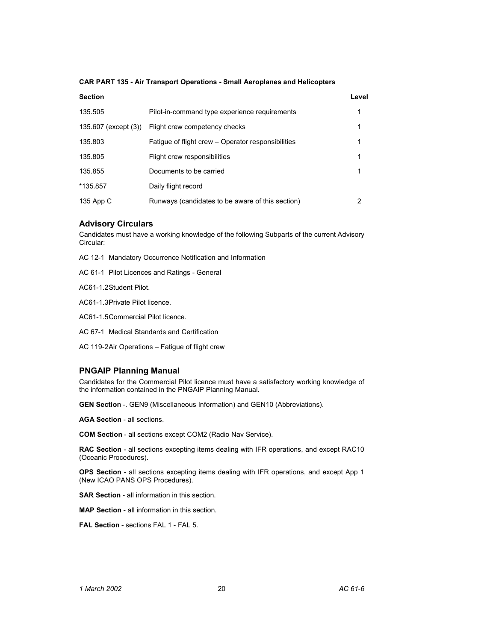### **CAR PART 135 - Air Transport Operations - Small Aeroplanes and Helicopters**

| <b>Section</b>       |                                                    | Level |
|----------------------|----------------------------------------------------|-------|
| 135.505              | Pilot-in-command type experience requirements      | 1     |
| 135.607 (except (3)) | Flight crew competency checks                      | 1     |
| 135.803              | Fatigue of flight crew – Operator responsibilities | 1     |
| 135.805              | Flight crew responsibilities                       | 1     |
| 135.855              | Documents to be carried                            | 1     |
| *135.857             | Daily flight record                                |       |
| 135 App C            | Runways (candidates to be aware of this section)   | 2     |

# **Advisory Circulars**

Candidates must have a working knowledge of the following Subparts of the current Advisory Circular:

AC 12-1 Mandatory Occurrence Notification and Information

AC 61-1 Pilot Licences and Ratings - General

AC61-1.2 Student Pilot.

AC61-1.3 Private Pilot licence.

AC61-1.5 Commercial Pilot licence.

AC 67-1 Medical Standards and Certification

AC 119-2 Air Operations – Fatigue of flight crew

# **PNGAIP Planning Manual**

Candidates for the Commercial Pilot licence must have a satisfactory working knowledge of the information contained in the PNGAIP Planning Manual.

**GEN Section** -. GEN9 (Miscellaneous Information) and GEN10 (Abbreviations).

**AGA Section** - all sections.

**COM Section** - all sections except COM2 (Radio Nav Service).

**RAC Section** - all sections excepting items dealing with IFR operations, and except RAC10 (Oceanic Procedures).

**OPS Section** - all sections excepting items dealing with IFR operations, and except App 1 (New ICAO PANS OPS Procedures).

**SAR Section** - all information in this section.

**MAP Section** - all information in this section.

**FAL Section** - sections FAL 1 - FAL 5.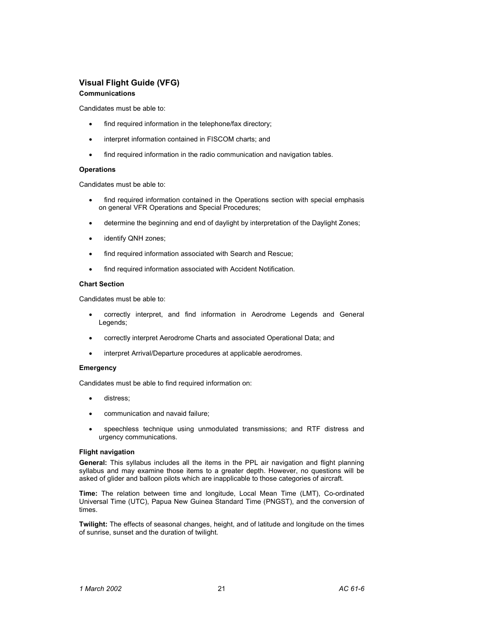# **Visual Flight Guide (VFG)**

# **Communications**

Candidates must be able to:

- find required information in the telephone/fax directory;
- interpret information contained in FISCOM charts; and
- find required information in the radio communication and navigation tables.

### **Operations**

Candidates must be able to:

- find required information contained in the Operations section with special emphasis on general VFR Operations and Special Procedures;
- determine the beginning and end of daylight by interpretation of the Daylight Zones;
- identify QNH zones;
- find required information associated with Search and Rescue;
- find required information associated with Accident Notification.

### **Chart Section**

Candidates must be able to:

- correctly interpret, and find information in Aerodrome Legends and General Legends;
- correctly interpret Aerodrome Charts and associated Operational Data; and
- interpret Arrival/Departure procedures at applicable aerodromes.

### **Emergency**

Candidates must be able to find required information on:

- distress;
- communication and navaid failure;
- speechless technique using unmodulated transmissions; and RTF distress and urgency communications.

### **Flight navigation**

**General:** This syllabus includes all the items in the PPL air navigation and flight planning syllabus and may examine those items to a greater depth. However, no questions will be asked of glider and balloon pilots which are inapplicable to those categories of aircraft.

**Time:** The relation between time and longitude, Local Mean Time (LMT), Co-ordinated Universal Time (UTC), Papua New Guinea Standard Time (PNGST), and the conversion of times.

**Twilight:** The effects of seasonal changes, height, and of latitude and longitude on the times of sunrise, sunset and the duration of twilight.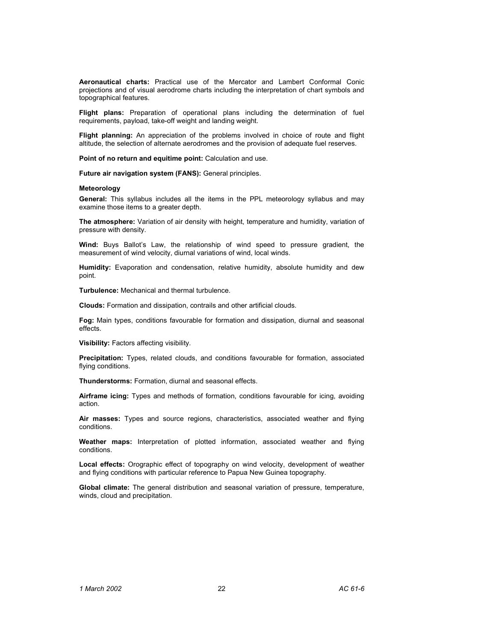**Aeronautical charts:** Practical use of the Mercator and Lambert Conformal Conic projections and of visual aerodrome charts including the interpretation of chart symbols and topographical features.

**Flight plans:** Preparation of operational plans including the determination of fuel requirements, payload, take-off weight and landing weight.

**Flight planning:** An appreciation of the problems involved in choice of route and flight altitude, the selection of alternate aerodromes and the provision of adequate fuel reserves.

**Point of no return and equitime point:** Calculation and use.

**Future air navigation system (FANS):** General principles.

### **Meteorology**

**General:** This syllabus includes all the items in the PPL meteorology syllabus and may examine those items to a greater depth.

**The atmosphere:** Variation of air density with height, temperature and humidity, variation of pressure with density.

**Wind:** Buys Ballot's Law, the relationship of wind speed to pressure gradient, the measurement of wind velocity, diurnal variations of wind, local winds.

**Humidity:** Evaporation and condensation, relative humidity, absolute humidity and dew point.

**Turbulence:** Mechanical and thermal turbulence.

**Clouds:** Formation and dissipation, contrails and other artificial clouds.

**Fog:** Main types, conditions favourable for formation and dissipation, diurnal and seasonal effects.

**Visibility:** Factors affecting visibility.

**Precipitation:** Types, related clouds, and conditions favourable for formation, associated flying conditions.

**Thunderstorms:** Formation, diurnal and seasonal effects.

**Airframe icing:** Types and methods of formation, conditions favourable for icing, avoiding action.

**Air masses:** Types and source regions, characteristics, associated weather and flying conditions.

**Weather maps:** Interpretation of plotted information, associated weather and flying conditions.

**Local effects:** Orographic effect of topography on wind velocity, development of weather and flying conditions with particular reference to Papua New Guinea topography.

**Global climate:** The general distribution and seasonal variation of pressure, temperature, winds, cloud and precipitation.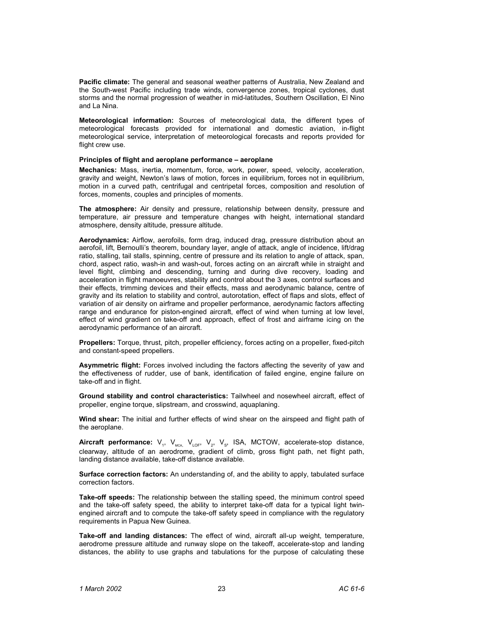**Pacific climate:** The general and seasonal weather patterns of Australia, New Zealand and the South-west Pacific including trade winds, convergence zones, tropical cyclones, dust storms and the normal progression of weather in mid-latitudes, Southern Oscillation, El Nino and La Nina.

**Meteorological information:** Sources of meteorological data, the different types of meteorological forecasts provided for international and domestic aviation, in-flight meteorological service, interpretation of meteorological forecasts and reports provided for flight crew use.

### **Principles of flight and aeroplane performance – aeroplane**

**Mechanics:** Mass, inertia, momentum, force, work, power, speed, velocity, acceleration, gravity and weight, Newton's laws of motion, forces in equilibrium, forces not in equilibrium, motion in a curved path, centrifugal and centripetal forces, composition and resolution of forces, moments, couples and principles of moments.

**The atmosphere:** Air density and pressure, relationship between density, pressure and temperature, air pressure and temperature changes with height, international standard atmosphere, density altitude, pressure altitude.

**Aerodynamics:** Airflow, aerofoils, form drag, induced drag, pressure distribution about an aerofoil, lift, Bernoulli's theorem, boundary layer, angle of attack, angle of incidence, lift/drag ratio, stalling, tail stalls, spinning, centre of pressure and its relation to angle of attack, span, chord, aspect ratio, wash-in and wash-out, forces acting on an aircraft while in straight and level flight, climbing and descending, turning and during dive recovery, loading and acceleration in flight manoeuvres, stability and control about the 3 axes, control surfaces and their effects, trimming devices and their effects, mass and aerodynamic balance, centre of gravity and its relation to stability and control, autorotation, effect of flaps and slots, effect of variation of air density on airframe and propeller performance, aerodynamic factors affecting range and endurance for piston-engined aircraft, effect of wind when turning at low level, effect of wind gradient on take-off and approach, effect of frost and airframe icing on the aerodynamic performance of an aircraft.

**Propellers:** Torque, thrust, pitch, propeller efficiency, forces acting on a propeller, fixed-pitch and constant-speed propellers.

**Asymmetric flight:** Forces involved including the factors affecting the severity of yaw and the effectiveness of rudder, use of bank, identification of failed engine, engine failure on take-off and in flight.

**Ground stability and control characteristics:** Tailwheel and nosewheel aircraft, effect of propeller, engine torque, slipstream, and crosswind, aquaplaning.

**Wind shear:** The initial and further effects of wind shear on the airspeed and flight path of the aeroplane.

Aircraft performance: V<sub>1</sub>, V<sub>MCA,</sub> V<sub>LOF</sub>, V<sub>2</sub>, V<sub>S</sub>, ISA, MCTOW, accelerate-stop distance, clearway, altitude of an aerodrome, gradient of climb, gross flight path, net flight path, landing distance available, take-off distance available.

**Surface correction factors:** An understanding of, and the ability to apply, tabulated surface correction factors.

**Take-off speeds:** The relationship between the stalling speed, the minimum control speed and the take-off safety speed, the ability to interpret take-off data for a typical light twinengined aircraft and to compute the take-off safety speed in compliance with the regulatory requirements in Papua New Guinea.

**Take-off and landing distances:** The effect of wind, aircraft all-up weight, temperature, aerodrome pressure altitude and runway slope on the takeoff, accelerate-stop and landing distances, the ability to use graphs and tabulations for the purpose of calculating these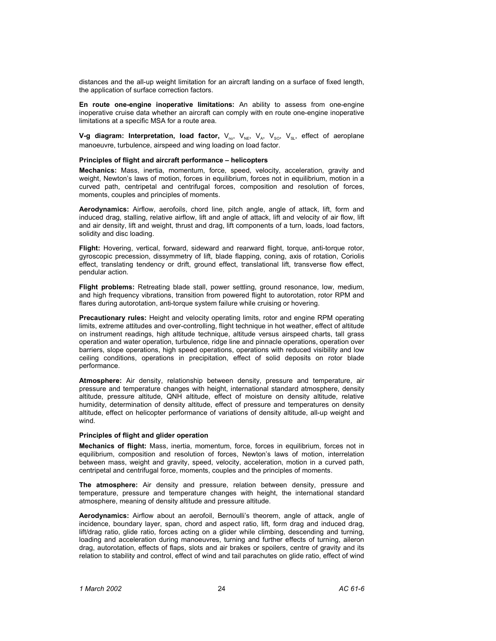distances and the all-up weight limitation for an aircraft landing on a surface of fixed length, the application of surface correction factors.

**En route one-engine inoperative limitations:** An ability to assess from one-engine inoperative cruise data whether an aircraft can comply with en route one-engine inoperative limitations at a specific MSA for a route area.

**V-g diagram: Interpretation, load factor,** V<sub>no</sub>, V<sub>NE</sub>, V<sub>A</sub>, V<sub>SO</sub>, V<sub>SL</sub>, effect of aeroplane manoeuvre, turbulence, airspeed and wing loading on load factor.

### **Principles of flight and aircraft performance – helicopters**

**Mechanics:** Mass, inertia, momentum, force, speed, velocity, acceleration, gravity and weight, Newton's laws of motion, forces in equilibrium, forces not in equilibrium, motion in a curved path, centripetal and centrifugal forces, composition and resolution of forces, moments, couples and principles of moments.

**Aerodynamics:** Airflow, aerofoils, chord line, pitch angle, angle of attack, lift, form and induced drag, stalling, relative airflow, lift and angle of attack, lift and velocity of air flow, lift and air density, lift and weight, thrust and drag, lift components of a turn, loads, load factors, solidity and disc loading.

**Flight:** Hovering, vertical, forward, sideward and rearward flight, torque, anti-torque rotor, gyroscopic precession, dissymmetry of lift, blade flapping, coning, axis of rotation, Coriolis effect, translating tendency or drift, ground effect, translational lift, transverse flow effect, pendular action.

**Flight problems:** Retreating blade stall, power settling, ground resonance, low, medium, and high frequency vibrations, transition from powered flight to autorotation, rotor RPM and flares during autorotation, anti-torque system failure while cruising or hovering.

**Precautionary rules:** Height and velocity operating limits, rotor and engine RPM operating limits, extreme attitudes and over-controlling, flight technique in hot weather, effect of altitude on instrument readings, high altitude technique, altitude versus airspeed charts, tall grass operation and water operation, turbulence, ridge line and pinnacle operations, operation over barriers, slope operations, high speed operations, operations with reduced visibility and low ceiling conditions, operations in precipitation, effect of solid deposits on rotor blade performance.

**Atmosphere:** Air density, relationship between density, pressure and temperature, air pressure and temperature changes with height, international standard atmosphere, density altitude, pressure altitude, QNH altitude, effect of moisture on density altitude, relative humidity, determination of density altitude, effect of pressure and temperatures on density altitude, effect on helicopter performance of variations of density altitude, all-up weight and wind.

## **Principles of flight and glider operation**

**Mechanics of flight:** Mass, inertia, momentum, force, forces in equilibrium, forces not in equilibrium, composition and resolution of forces, Newton's laws of motion, interrelation between mass, weight and gravity, speed, velocity, acceleration, motion in a curved path, centripetal and centrifugal force, moments, couples and the principles of moments.

**The atmosphere:** Air density and pressure, relation between density, pressure and temperature, pressure and temperature changes with height, the international standard atmosphere, meaning of density altitude and pressure altitude.

**Aerodynamics:** Airflow about an aerofoil, Bernoulli's theorem, angle of attack, angle of incidence, boundary layer, span, chord and aspect ratio, lift, form drag and induced drag, lift/drag ratio, glide ratio, forces acting on a glider while climbing, descending and turning, loading and acceleration during manoeuvres, turning and further effects of turning, aileron drag, autorotation, effects of flaps, slots and air brakes or spoilers, centre of gravity and its relation to stability and control, effect of wind and tail parachutes on glide ratio, effect of wind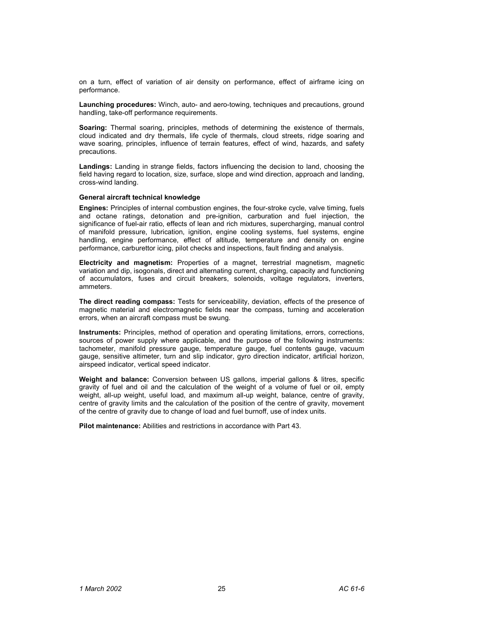on a turn, effect of variation of air density on performance, effect of airframe icing on performance.

**Launching procedures:** Winch, auto- and aero-towing, techniques and precautions, ground handling, take-off performance requirements.

**Soaring:** Thermal soaring, principles, methods of determining the existence of thermals, cloud indicated and dry thermals, life cycle of thermals, cloud streets, ridge soaring and wave soaring, principles, influence of terrain features, effect of wind, hazards, and safety precautions.

**Landings:** Landing in strange fields, factors influencing the decision to land, choosing the field having regard to location, size, surface, slope and wind direction, approach and landing, cross-wind landing.

### **General aircraft technical knowledge**

**Engines:** Principles of internal combustion engines, the four-stroke cycle, valve timing, fuels and octane ratings, detonation and pre-ignition, carburation and fuel injection, the significance of fuel-air ratio, effects of lean and rich mixtures, supercharging, manual control of manifold pressure, lubrication, ignition, engine cooling systems, fuel systems, engine handling, engine performance, effect of altitude, temperature and density on engine performance, carburettor icing, pilot checks and inspections, fault finding and analysis.

**Electricity and magnetism:** Properties of a magnet, terrestrial magnetism, magnetic variation and dip, isogonals, direct and alternating current, charging, capacity and functioning of accumulators, fuses and circuit breakers, solenoids, voltage regulators, inverters, ammeters.

**The direct reading compass:** Tests for serviceability, deviation, effects of the presence of magnetic material and electromagnetic fields near the compass, turning and acceleration errors, when an aircraft compass must be swung.

**Instruments:** Principles, method of operation and operating limitations, errors, corrections, sources of power supply where applicable, and the purpose of the following instruments: tachometer, manifold pressure gauge, temperature gauge, fuel contents gauge, vacuum gauge, sensitive altimeter, turn and slip indicator, gyro direction indicator, artificial horizon, airspeed indicator, vertical speed indicator.

**Weight and balance:** Conversion between US gallons, imperial gallons & litres, specific gravity of fuel and oil and the calculation of the weight of a volume of fuel or oil, empty weight, all-up weight, useful load, and maximum all-up weight, balance, centre of gravity, centre of gravity limits and the calculation of the position of the centre of gravity, movement of the centre of gravity due to change of load and fuel burnoff, use of index units.

**Pilot maintenance:** Abilities and restrictions in accordance with Part 43.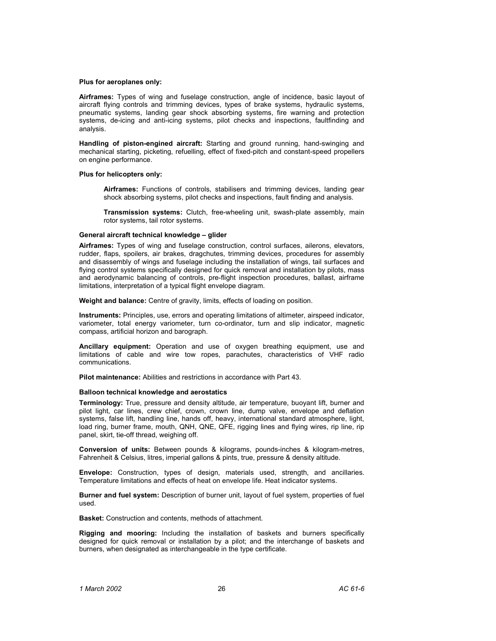## **Plus for aeroplanes only:**

**Airframes:** Types of wing and fuselage construction, angle of incidence, basic layout of aircraft flying controls and trimming devices, types of brake systems, hydraulic systems, pneumatic systems, landing gear shock absorbing systems, fire warning and protection systems, de-icing and anti-icing systems, pilot checks and inspections, faultfinding and analysis.

**Handling of piston-engined aircraft:** Starting and ground running, hand-swinging and mechanical starting, picketing, refuelling, effect of fixed-pitch and constant-speed propellers on engine performance.

### **Plus for helicopters only:**

**Airframes:** Functions of controls, stabilisers and trimming devices, landing gear shock absorbing systems, pilot checks and inspections, fault finding and analysis.

**Transmission systems:** Clutch, free-wheeling unit, swash-plate assembly, main rotor systems, tail rotor systems.

### **General aircraft technical knowledge – glider**

**Airframes:** Types of wing and fuselage construction, control surfaces, ailerons, elevators, rudder, flaps, spoilers, air brakes, dragchutes, trimming devices, procedures for assembly and disassembly of wings and fuselage including the installation of wings, tail surfaces and flying control systems specifically designed for quick removal and installation by pilots, mass and aerodynamic balancing of controls, pre-flight inspection procedures, ballast, airframe limitations, interpretation of a typical flight envelope diagram.

**Weight and balance:** Centre of gravity, limits, effects of loading on position.

**Instruments:** Principles, use, errors and operating limitations of altimeter, airspeed indicator, variometer, total energy variometer, turn co-ordinator, turn and slip indicator, magnetic compass, artificial horizon and barograph.

**Ancillary equipment:** Operation and use of oxygen breathing equipment, use and limitations of cable and wire tow ropes, parachutes, characteristics of VHF radio communications.

**Pilot maintenance:** Abilities and restrictions in accordance with Part 43.

#### **Balloon technical knowledge and aerostatics**

**Terminology:** True, pressure and density altitude, air temperature, buoyant lift, burner and pilot light, car lines, crew chief, crown, crown line, dump valve, envelope and deflation systems, false lift, handling line, hands off, heavy, international standard atmosphere, light, load ring, burner frame, mouth, QNH, QNE, QFE, rigging lines and flying wires, rip line, rip panel, skirt, tie-off thread, weighing off.

**Conversion of units:** Between pounds & kilograms, pounds-inches & kilogram-metres, Fahrenheit & Celsius, litres, imperial gallons & pints, true, pressure & density altitude.

**Envelope:** Construction, types of design, materials used, strength, and ancillaries. Temperature limitations and effects of heat on envelope life. Heat indicator systems.

**Burner and fuel system:** Description of burner unit, layout of fuel system, properties of fuel used.

**Basket:** Construction and contents, methods of attachment.

**Rigging and mooring:** Including the installation of baskets and burners specifically designed for quick removal or installation by a pilot; and the interchange of baskets and burners, when designated as interchangeable in the type certificate.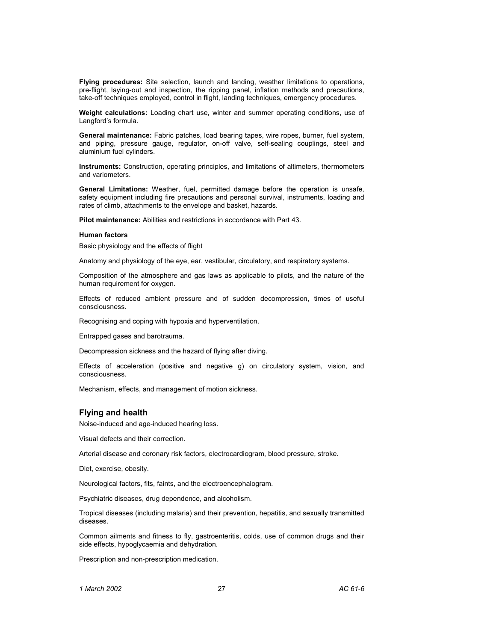**Flying procedures:** Site selection, launch and landing, weather limitations to operations, pre-flight, laying-out and inspection, the ripping panel, inflation methods and precautions, take-off techniques employed, control in flight, landing techniques, emergency procedures.

**Weight calculations:** Loading chart use, winter and summer operating conditions, use of Langford's formula.

**General maintenance:** Fabric patches, load bearing tapes, wire ropes, burner, fuel system, and piping, pressure gauge, regulator, on-off valve, self-sealing couplings, steel and aluminium fuel cylinders.

**Instruments:** Construction, operating principles, and limitations of altimeters, thermometers and variometers.

**General Limitations:** Weather, fuel, permitted damage before the operation is unsafe, safety equipment including fire precautions and personal survival, instruments, loading and rates of climb, attachments to the envelope and basket, hazards.

**Pilot maintenance:** Abilities and restrictions in accordance with Part 43.

### **Human factors**

Basic physiology and the effects of flight

Anatomy and physiology of the eye, ear, vestibular, circulatory, and respiratory systems.

Composition of the atmosphere and gas laws as applicable to pilots, and the nature of the human requirement for oxygen.

Effects of reduced ambient pressure and of sudden decompression, times of useful consciousness.

Recognising and coping with hypoxia and hyperventilation.

Entrapped gases and barotrauma.

Decompression sickness and the hazard of flying after diving.

Effects of acceleration (positive and negative g) on circulatory system, vision, and consciousness.

Mechanism, effects, and management of motion sickness.

# **Flying and health**

Noise-induced and age-induced hearing loss.

Visual defects and their correction.

Arterial disease and coronary risk factors, electrocardiogram, blood pressure, stroke.

Diet, exercise, obesity.

Neurological factors, fits, faints, and the electroencephalogram.

Psychiatric diseases, drug dependence, and alcoholism.

Tropical diseases (including malaria) and their prevention, hepatitis, and sexually transmitted diseases.

Common ailments and fitness to fly, gastroenteritis, colds, use of common drugs and their side effects, hypoglycaemia and dehydration.

Prescription and non-prescription medication.

*1 March 2002* 27 *AC 61-6*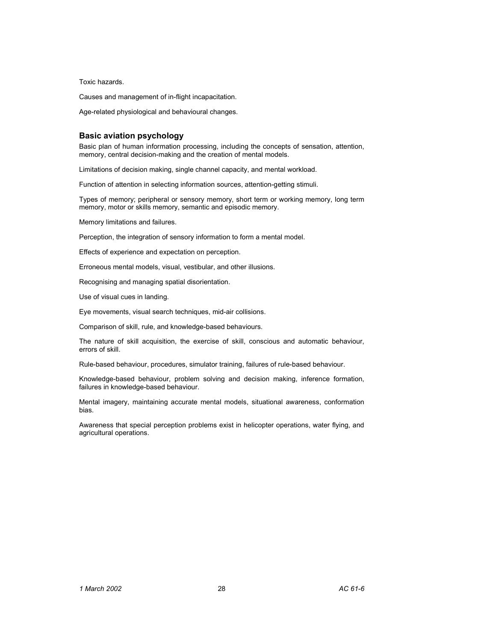Toxic hazards.

Causes and management of in-flight incapacitation.

Age-related physiological and behavioural changes.

### **Basic aviation psychology**

Basic plan of human information processing, including the concepts of sensation, attention, memory, central decision-making and the creation of mental models.

Limitations of decision making, single channel capacity, and mental workload.

Function of attention in selecting information sources, attention-getting stimuli.

Types of memory; peripheral or sensory memory, short term or working memory, long term memory, motor or skills memory, semantic and episodic memory.

Memory limitations and failures.

Perception, the integration of sensory information to form a mental model.

Effects of experience and expectation on perception.

Erroneous mental models, visual, vestibular, and other illusions.

Recognising and managing spatial disorientation.

Use of visual cues in landing.

Eye movements, visual search techniques, mid-air collisions.

Comparison of skill, rule, and knowledge-based behaviours.

The nature of skill acquisition, the exercise of skill, conscious and automatic behaviour, errors of skill.

Rule-based behaviour, procedures, simulator training, failures of rule-based behaviour.

Knowledge-based behaviour, problem solving and decision making, inference formation, failures in knowledge-based behaviour.

Mental imagery, maintaining accurate mental models, situational awareness, conformation bias.

Awareness that special perception problems exist in helicopter operations, water flying, and agricultural operations.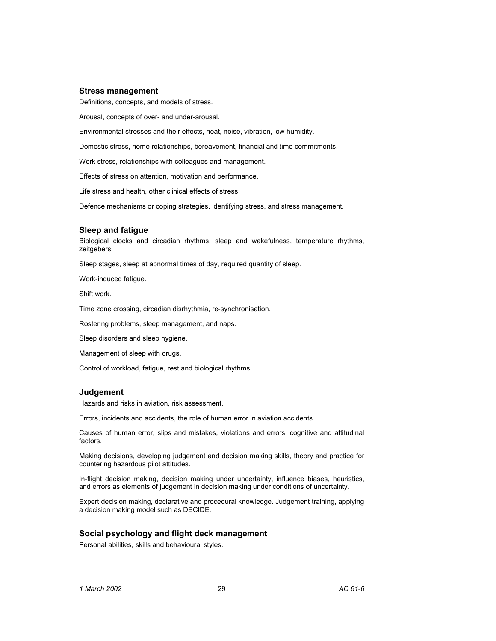### **Stress management**

Definitions, concepts, and models of stress.

Arousal, concepts of over- and under-arousal.

Environmental stresses and their effects, heat, noise, vibration, low humidity.

Domestic stress, home relationships, bereavement, financial and time commitments.

Work stress, relationships with colleagues and management.

Effects of stress on attention, motivation and performance.

Life stress and health, other clinical effects of stress.

Defence mechanisms or coping strategies, identifying stress, and stress management.

### **Sleep and fatigue**

Biological clocks and circadian rhythms, sleep and wakefulness, temperature rhythms, zeitgebers.

Sleep stages, sleep at abnormal times of day, required quantity of sleep.

Work-induced fatigue.

Shift work.

Time zone crossing, circadian disrhythmia, re-synchronisation.

Rostering problems, sleep management, and naps.

Sleep disorders and sleep hygiene.

Management of sleep with drugs.

Control of workload, fatigue, rest and biological rhythms.

### **Judgement**

Hazards and risks in aviation, risk assessment.

Errors, incidents and accidents, the role of human error in aviation accidents.

Causes of human error, slips and mistakes, violations and errors, cognitive and attitudinal factors.

Making decisions, developing judgement and decision making skills, theory and practice for countering hazardous pilot attitudes.

In-flight decision making, decision making under uncertainty, influence biases, heuristics, and errors as elements of judgement in decision making under conditions of uncertainty.

Expert decision making, declarative and procedural knowledge. Judgement training, applying a decision making model such as DECIDE.

# **Social psychology and flight deck management**

Personal abilities, skills and behavioural styles.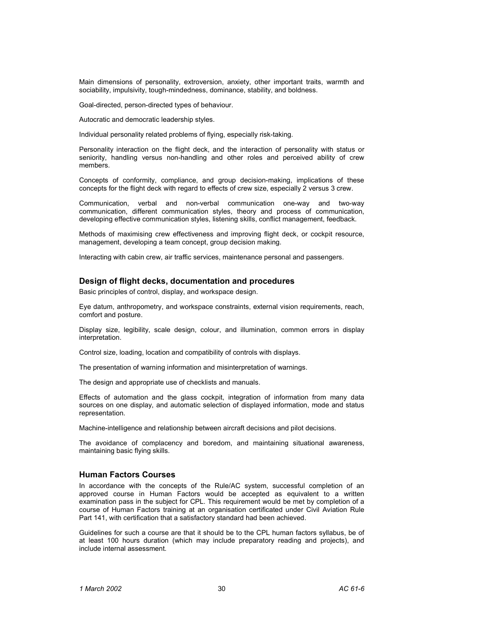Main dimensions of personality, extroversion, anxiety, other important traits, warmth and sociability, impulsivity, tough-mindedness, dominance, stability, and boldness.

Goal-directed, person-directed types of behaviour.

Autocratic and democratic leadership styles.

Individual personality related problems of flying, especially risk-taking.

Personality interaction on the flight deck, and the interaction of personality with status or seniority, handling versus non-handling and other roles and perceived ability of crew members.

Concepts of conformity, compliance, and group decision-making, implications of these concepts for the flight deck with regard to effects of crew size, especially 2 versus 3 crew.

Communication, verbal and non-verbal communication one-way and two-way communication, different communication styles, theory and process of communication, developing effective communication styles, listening skills, conflict management, feedback.

Methods of maximising crew effectiveness and improving flight deck, or cockpit resource, management, developing a team concept, group decision making.

Interacting with cabin crew, air traffic services, maintenance personal and passengers.

# **Design of flight decks, documentation and procedures**

Basic principles of control, display, and workspace design.

Eye datum, anthropometry, and workspace constraints, external vision requirements, reach, comfort and posture.

Display size, legibility, scale design, colour, and illumination, common errors in display interpretation.

Control size, loading, location and compatibility of controls with displays.

The presentation of warning information and misinterpretation of warnings.

The design and appropriate use of checklists and manuals.

Effects of automation and the glass cockpit, integration of information from many data sources on one display, and automatic selection of displayed information, mode and status representation.

Machine-intelligence and relationship between aircraft decisions and pilot decisions.

The avoidance of complacency and boredom, and maintaining situational awareness, maintaining basic flying skills.

# **Human Factors Courses**

In accordance with the concepts of the Rule/AC system, successful completion of an approved course in Human Factors would be accepted as equivalent to a written examination pass in the subject for CPL. This requirement would be met by completion of a course of Human Factors training at an organisation certificated under Civil Aviation Rule Part 141, with certification that a satisfactory standard had been achieved.

Guidelines for such a course are that it should be to the CPL human factors syllabus, be of at least 100 hours duration (which may include preparatory reading and projects), and include internal assessment.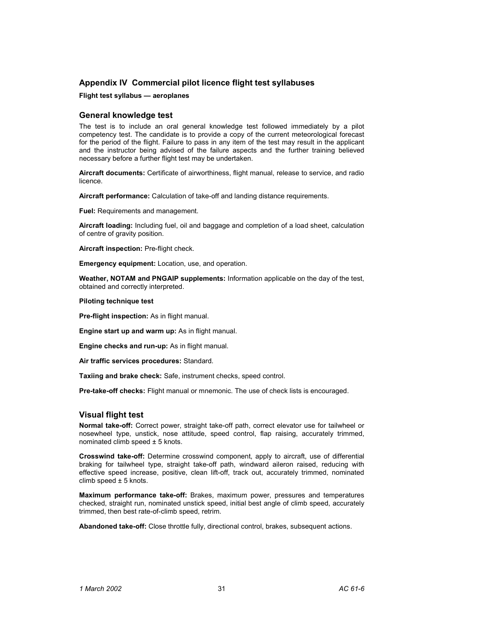# **Appendix IV Commercial pilot licence flight test syllabuses**

### **Flight test syllabus — aeroplanes**

# **General knowledge test**

The test is to include an oral general knowledge test followed immediately by a pilot competency test. The candidate is to provide a copy of the current meteorological forecast for the period of the flight. Failure to pass in any item of the test may result in the applicant and the instructor being advised of the failure aspects and the further training believed necessary before a further flight test may be undertaken.

**Aircraft documents:** Certificate of airworthiness, flight manual, release to service, and radio licence.

**Aircraft performance:** Calculation of take-off and landing distance requirements.

**Fuel:** Requirements and management.

**Aircraft loading:** Including fuel, oil and baggage and completion of a load sheet, calculation of centre of gravity position.

**Aircraft inspection:** Pre-flight check.

**Emergency equipment:** Location, use, and operation.

**Weather, NOTAM and PNGAIP supplements:** Information applicable on the day of the test, obtained and correctly interpreted.

### **Piloting technique test**

**Pre-flight inspection:** As in flight manual.

**Engine start up and warm up:** As in flight manual.

**Engine checks and run-up:** As in flight manual.

**Air traffic services procedures:** Standard.

**Taxiing and brake check:** Safe, instrument checks, speed control.

**Pre-take-off checks:** Flight manual or mnemonic. The use of check lists is encouraged.

# **Visual flight test**

**Normal take-off:** Correct power, straight take-off path, correct elevator use for tailwheel or nosewheel type, unstick, nose attitude, speed control, flap raising, accurately trimmed, nominated climb speed  $\pm$  5 knots.

**Crosswind take-off:** Determine crosswind component, apply to aircraft, use of differential braking for tailwheel type, straight take-off path, windward aileron raised, reducing with effective speed increase, positive, clean lift-off, track out, accurately trimmed, nominated climb speed  $\pm$  5 knots.

**Maximum performance take-off:** Brakes, maximum power, pressures and temperatures checked, straight run, nominated unstick speed, initial best angle of climb speed, accurately trimmed, then best rate-of-climb speed, retrim.

**Abandoned take-off:** Close throttle fully, directional control, brakes, subsequent actions.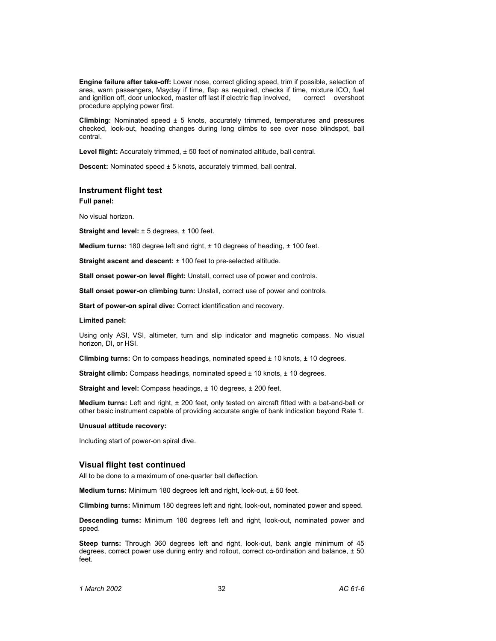**Engine failure after take-off:** Lower nose, correct gliding speed, trim if possible, selection of area, warn passengers, Mayday if time, flap as required, checks if time, mixture ICO, fuel and ignition off, door unlocked, master off last if electric flap involved, correct overshoot procedure applying power first.

**Climbing:** Nominated speed ± 5 knots, accurately trimmed, temperatures and pressures checked, look-out, heading changes during long climbs to see over nose blindspot, ball central.

Level flight: Accurately trimmed,  $\pm$  50 feet of nominated altitude, ball central.

**Descent:** Nominated speed  $\pm$  5 knots, accurately trimmed, ball central.

## **Instrument flight test**

**Full panel:** 

No visual horizon.

**Straight and level:**  $\pm$  5 degrees,  $\pm$  100 feet.

**Medium turns:** 180 degree left and right, ± 10 degrees of heading, ± 100 feet.

**Straight ascent and descent:**  $\pm$  100 feet to pre-selected altitude.

**Stall onset power-on level flight:** Unstall, correct use of power and controls.

**Stall onset power-on climbing turn:** Unstall, correct use of power and controls.

**Start of power-on spiral dive:** Correct identification and recovery.

### **Limited panel:**

Using only ASI, VSI, altimeter, turn and slip indicator and magnetic compass. No visual horizon, DI, or HSI.

**Climbing turns:** On to compass headings, nominated speed ± 10 knots, ± 10 degrees.

**Straight climb:** Compass headings, nominated speed  $\pm$  10 knots,  $\pm$  10 degrees.

**Straight and level:** Compass headings,  $\pm$  10 degrees,  $\pm$  200 feet.

**Medium turns:** Left and right, ± 200 feet, only tested on aircraft fitted with a bat-and-ball or other basic instrument capable of providing accurate angle of bank indication beyond Rate 1.

### **Unusual attitude recovery:**

Including start of power-on spiral dive.

### **Visual flight test continued**

All to be done to a maximum of one-quarter ball deflection.

**Medium turns:** Minimum 180 degrees left and right, look-out, ± 50 feet.

**Climbing turns:** Minimum 180 degrees left and right, look-out, nominated power and speed.

**Descending turns:** Minimum 180 degrees left and right, look-out, nominated power and speed.

**Steep turns:** Through 360 degrees left and right, look-out, bank angle minimum of 45 degrees, correct power use during entry and rollout, correct co-ordination and balance,  $\pm 50$ feet.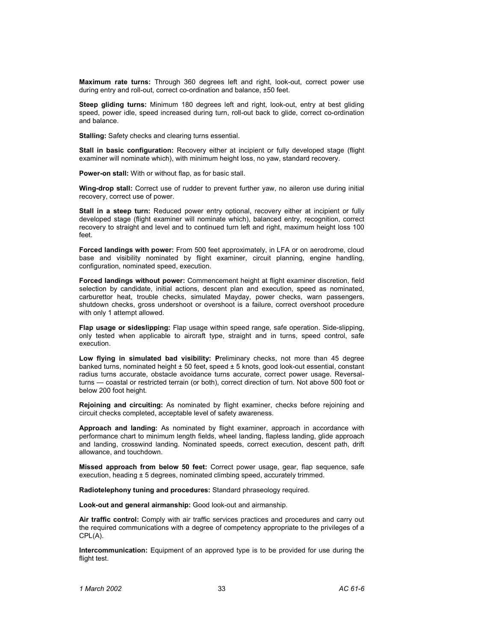**Maximum rate turns:** Through 360 degrees left and right, look-out, correct power use during entry and roll-out, correct co-ordination and balance, ±50 feet.

**Steep gliding turns:** Minimum 180 degrees left and right, look-out, entry at best gliding speed, power idle, speed increased during turn, roll-out back to glide, correct co-ordination and balance.

**Stalling:** Safety checks and clearing turns essential.

**Stall in basic configuration:** Recovery either at incipient or fully developed stage (flight examiner will nominate which), with minimum height loss, no yaw, standard recovery.

**Power-on stall:** With or without flap, as for basic stall.

**Wing-drop stall:** Correct use of rudder to prevent further yaw, no aileron use during initial recovery, correct use of power.

**Stall in a steep turn:** Reduced power entry optional, recovery either at incipient or fully developed stage (flight examiner will nominate which), balanced entry, recognition, correct recovery to straight and level and to continued turn left and right, maximum height loss 100 feet.

**Forced landings with power:** From 500 feet approximately, in LFA or on aerodrome, cloud base and visibility nominated by flight examiner, circuit planning, engine handling, configuration, nominated speed, execution.

**Forced landings without power:** Commencement height at flight examiner discretion, field selection by candidate, initial actions, descent plan and execution, speed as nominated, carburettor heat, trouble checks, simulated Mayday, power checks, warn passengers, shutdown checks, gross undershoot or overshoot is a failure, correct overshoot procedure with only 1 attempt allowed.

**Flap usage or sideslipping:** Flap usage within speed range, safe operation. Side-slipping, only tested when applicable to aircraft type, straight and in turns, speed control, safe execution.

**Low flying in simulated bad visibility: P**reliminary checks, not more than 45 degree banked turns, nominated height  $\pm$  50 feet, speed  $\pm$  5 knots, good look-out essential, constant radius turns accurate, obstacle avoidance turns accurate, correct power usage. Reversalturns — coastal or restricted terrain (or both), correct direction of turn. Not above 500 foot or below 200 foot height.

**Rejoining and circuiting:** As nominated by flight examiner, checks before rejoining and circuit checks completed, acceptable level of safety awareness.

**Approach and landing:** As nominated by flight examiner, approach in accordance with performance chart to minimum length fields, wheel landing, flapless landing, glide approach and landing, crosswind landing. Nominated speeds, correct execution, descent path, drift allowance, and touchdown.

**Missed approach from below 50 feet:** Correct power usage, gear, flap sequence, safe execution, heading ± 5 degrees, nominated climbing speed, accurately trimmed.

**Radiotelephony tuning and procedures:** Standard phraseology required.

**Look-out and general airmanship:** Good look-out and airmanship.

**Air traffic control:** Comply with air traffic services practices and procedures and carry out the required communications with a degree of competency appropriate to the privileges of a CPL(A).

**Intercommunication:** Equipment of an approved type is to be provided for use during the flight test.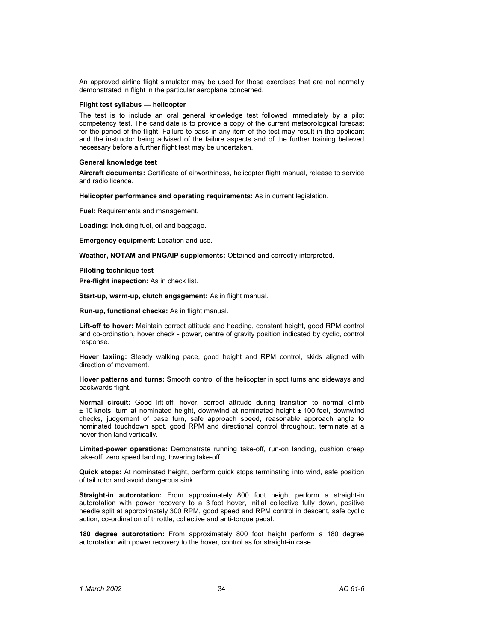An approved airline flight simulator may be used for those exercises that are not normally demonstrated in flight in the particular aeroplane concerned.

### **Flight test syllabus — helicopter**

The test is to include an oral general knowledge test followed immediately by a pilot competency test. The candidate is to provide a copy of the current meteorological forecast for the period of the flight. Failure to pass in any item of the test may result in the applicant and the instructor being advised of the failure aspects and of the further training believed necessary before a further flight test may be undertaken.

#### **General knowledge test**

**Aircraft documents:** Certificate of airworthiness, helicopter flight manual, release to service and radio licence.

**Helicopter performance and operating requirements:** As in current legislation.

**Fuel:** Requirements and management.

**Loading:** Including fuel, oil and baggage.

**Emergency equipment:** Location and use.

**Weather, NOTAM and PNGAIP supplements:** Obtained and correctly interpreted.

#### **Piloting technique test**

**Pre-flight inspection:** As in check list.

**Start-up, warm-up, clutch engagement:** As in flight manual.

**Run-up, functional checks:** As in flight manual.

**Lift-off to hover:** Maintain correct attitude and heading, constant height, good RPM control and co-ordination, hover check - power, centre of gravity position indicated by cyclic, control response.

**Hover taxiing:** Steady walking pace, good height and RPM control, skids aligned with direction of movement.

**Hover patterns and turns: S**mooth control of the helicopter in spot turns and sideways and backwards flight.

**Normal circuit:** Good lift-off, hover, correct attitude during transition to normal climb ± 10 knots, turn at nominated height, downwind at nominated height ± 100 feet, downwind checks, judgement of base turn, safe approach speed, reasonable approach angle to nominated touchdown spot, good RPM and directional control throughout, terminate at a hover then land vertically.

**Limited-power operations:** Demonstrate running take-off, run-on landing, cushion creep take-off, zero speed landing, towering take-off.

**Quick stops:** At nominated height, perform quick stops terminating into wind, safe position of tail rotor and avoid dangerous sink.

**Straight-in autorotation:** From approximately 800 foot height perform a straight-in autorotation with power recovery to a 3 foot hover, initial collective fully down, positive needle split at approximately 300 RPM, good speed and RPM control in descent, safe cyclic action, co-ordination of throttle, collective and anti-torque pedal.

**180 degree autorotation:** From approximately 800 foot height perform a 180 degree autorotation with power recovery to the hover, control as for straight-in case.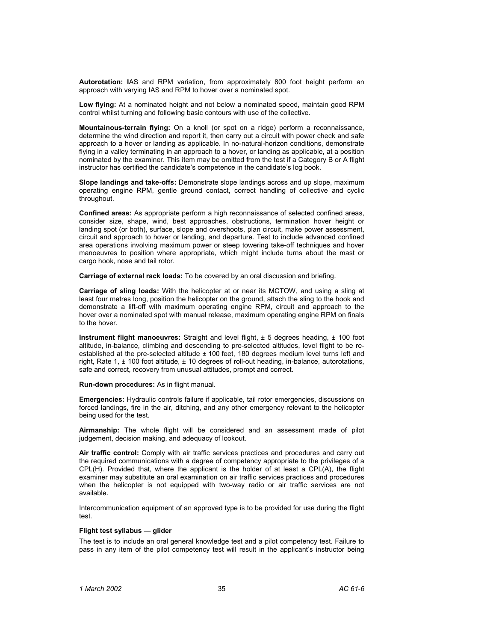**Autorotation: I**AS and RPM variation, from approximately 800 foot height perform an approach with varying IAS and RPM to hover over a nominated spot.

**Low flying:** At a nominated height and not below a nominated speed, maintain good RPM control whilst turning and following basic contours with use of the collective.

**Mountainous-terrain flying:** On a knoll (or spot on a ridge) perform a reconnaissance, determine the wind direction and report it, then carry out a circuit with power check and safe approach to a hover or landing as applicable. In no-natural-horizon conditions, demonstrate flying in a valley terminating in an approach to a hover, or landing as applicable, at a position nominated by the examiner. This item may be omitted from the test if a Category B or A flight instructor has certified the candidate's competence in the candidate's log book.

**Slope landings and take-offs:** Demonstrate slope landings across and up slope, maximum operating engine RPM, gentle ground contact, correct handling of collective and cyclic throughout.

**Confined areas:** As appropriate perform a high reconnaissance of selected confined areas, consider size, shape, wind, best approaches, obstructions, termination hover height or landing spot (or both), surface, slope and overshoots, plan circuit, make power assessment, circuit and approach to hover or landing, and departure. Test to include advanced confined area operations involving maximum power or steep towering take-off techniques and hover manoeuvres to position where appropriate, which might include turns about the mast or cargo hook, nose and tail rotor.

**Carriage of external rack loads:** To be covered by an oral discussion and briefing.

**Carriage of sling loads:** With the helicopter at or near its MCTOW, and using a sling at least four metres long, position the helicopter on the ground, attach the sling to the hook and demonstrate a lift-off with maximum operating engine RPM, circuit and approach to the hover over a nominated spot with manual release, maximum operating engine RPM on finals to the hover.

**Instrument flight manoeuvres:** Straight and level flight, ± 5 degrees heading, ± 100 foot altitude, in-balance, climbing and descending to pre-selected altitudes, level flight to be reestablished at the pre-selected altitude  $\pm$  100 feet, 180 degrees medium level turns left and right, Rate 1, ± 100 foot altitude, ± 10 degrees of roll-out heading, in-balance, autorotations, safe and correct, recovery from unusual attitudes, prompt and correct.

**Run-down procedures:** As in flight manual.

**Emergencies:** Hydraulic controls failure if applicable, tail rotor emergencies, discussions on forced landings, fire in the air, ditching, and any other emergency relevant to the helicopter being used for the test.

**Airmanship:** The whole flight will be considered and an assessment made of pilot judgement, decision making, and adequacy of lookout.

**Air traffic control:** Comply with air traffic services practices and procedures and carry out the required communications with a degree of competency appropriate to the privileges of a CPL(H). Provided that, where the applicant is the holder of at least a CPL(A), the flight examiner may substitute an oral examination on air traffic services practices and procedures when the helicopter is not equipped with two-way radio or air traffic services are not available.

Intercommunication equipment of an approved type is to be provided for use during the flight test.

### **Flight test syllabus — glider**

The test is to include an oral general knowledge test and a pilot competency test. Failure to pass in any item of the pilot competency test will result in the applicant's instructor being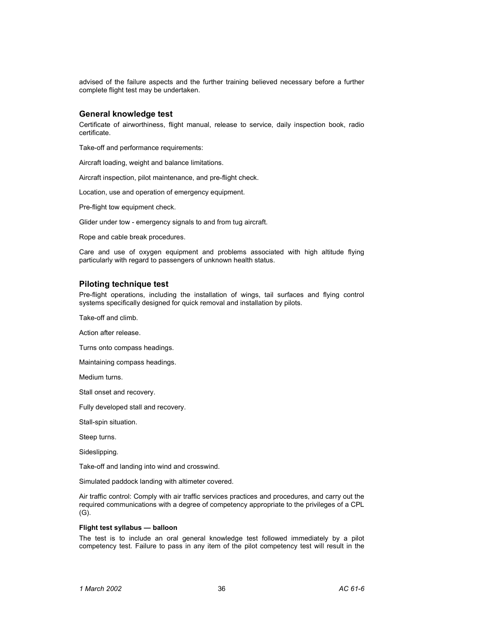advised of the failure aspects and the further training believed necessary before a further complete flight test may be undertaken.

# **General knowledge test**

Certificate of airworthiness, flight manual, release to service, daily inspection book, radio certificate.

Take-off and performance requirements:

Aircraft loading, weight and balance limitations.

Aircraft inspection, pilot maintenance, and pre-flight check.

Location, use and operation of emergency equipment.

Pre-flight tow equipment check.

Glider under tow - emergency signals to and from tug aircraft.

Rope and cable break procedures.

Care and use of oxygen equipment and problems associated with high altitude flying particularly with regard to passengers of unknown health status.

### **Piloting technique test**

Pre-flight operations, including the installation of wings, tail surfaces and flying control systems specifically designed for quick removal and installation by pilots.

Take-off and climb.

Action after release.

Turns onto compass headings.

Maintaining compass headings.

Medium turns.

Stall onset and recovery.

Fully developed stall and recovery.

Stall-spin situation.

Steep turns.

Sideslipping.

Take-off and landing into wind and crosswind.

Simulated paddock landing with altimeter covered.

Air traffic control: Comply with air traffic services practices and procedures, and carry out the required communications with a degree of competency appropriate to the privileges of a CPL (G).

### **Flight test syllabus — balloon**

The test is to include an oral general knowledge test followed immediately by a pilot competency test. Failure to pass in any item of the pilot competency test will result in the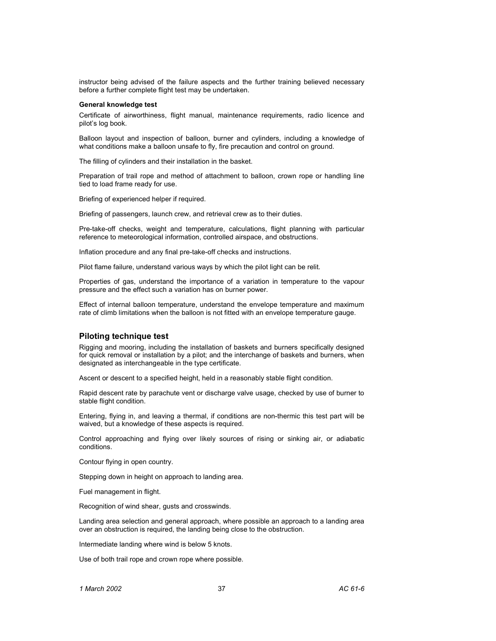instructor being advised of the failure aspects and the further training believed necessary before a further complete flight test may be undertaken.

### **General knowledge test**

Certificate of airworthiness, flight manual, maintenance requirements, radio licence and pilot's log book.

Balloon layout and inspection of balloon, burner and cylinders, including a knowledge of what conditions make a balloon unsafe to fly, fire precaution and control on ground.

The filling of cylinders and their installation in the basket.

Preparation of trail rope and method of attachment to balloon, crown rope or handling line tied to load frame ready for use.

Briefing of experienced helper if required.

Briefing of passengers, launch crew, and retrieval crew as to their duties.

Pre-take-off checks, weight and temperature, calculations, flight planning with particular reference to meteorological information, controlled airspace, and obstructions.

Inflation procedure and any final pre-take-off checks and instructions.

Pilot flame failure, understand various ways by which the pilot light can be relit.

Properties of gas, understand the importance of a variation in temperature to the vapour pressure and the effect such a variation has on burner power.

Effect of internal balloon temperature, understand the envelope temperature and maximum rate of climb limitations when the balloon is not fitted with an envelope temperature gauge.

### **Piloting technique test**

Rigging and mooring, including the installation of baskets and burners specifically designed for quick removal or installation by a pilot; and the interchange of baskets and burners, when designated as interchangeable in the type certificate.

Ascent or descent to a specified height, held in a reasonably stable flight condition.

Rapid descent rate by parachute vent or discharge valve usage, checked by use of burner to stable flight condition.

Entering, flying in, and leaving a thermal, if conditions are non-thermic this test part will be waived, but a knowledge of these aspects is required.

Control approaching and flying over likely sources of rising or sinking air, or adiabatic conditions.

Contour flying in open country.

Stepping down in height on approach to landing area.

Fuel management in flight.

Recognition of wind shear, gusts and crosswinds.

Landing area selection and general approach, where possible an approach to a landing area over an obstruction is required, the landing being close to the obstruction.

Intermediate landing where wind is below 5 knots.

Use of both trail rope and crown rope where possible.

*1 March 2002* 37 *AC 61-6*